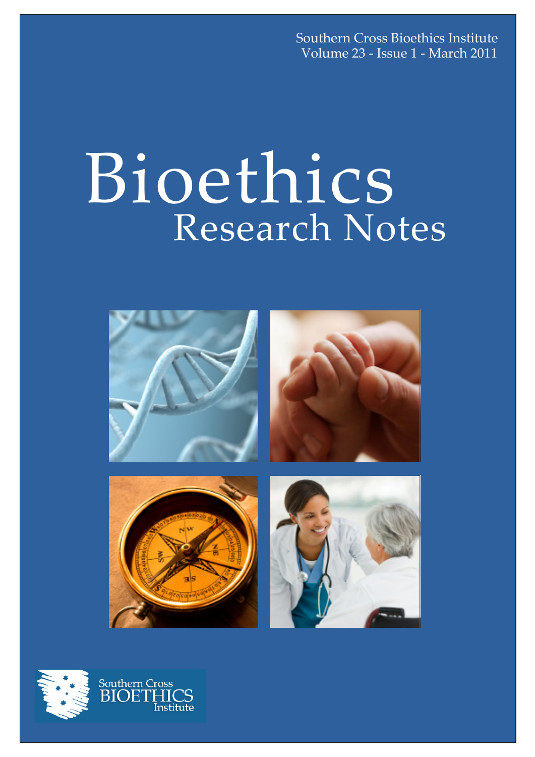Southern Cross Bioethics Institute Volume 23 - Issue 1 - March 2011

# Bioethics Research Notes



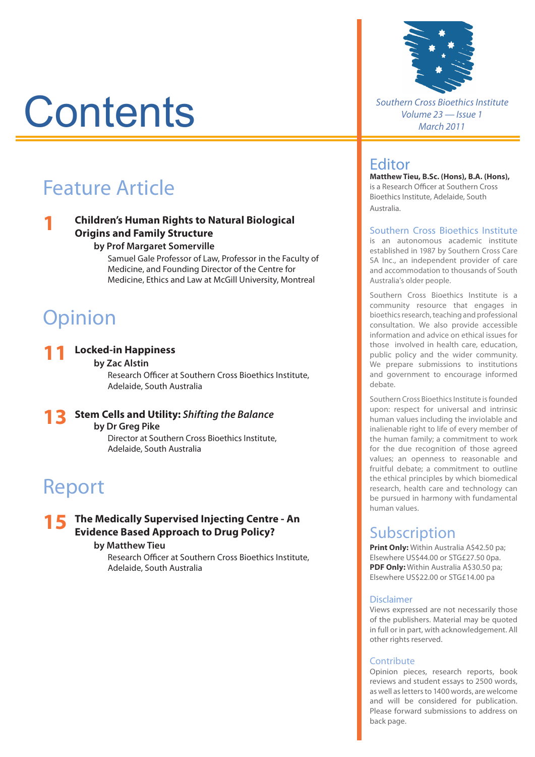# **Contents**

# Feature Article

# **1 Children's Human Rights to Natural Biological Origins and Family Structure**

#### **by Prof Margaret Somerville**

 Samuel Gale Professor of Law, Professor in the Faculty of Medicine, and Founding Director of the Centre for Medicine, Ethics and Law at McGill University, Montreal

# **Opinion**

#### **11 Locked-in Happiness**

#### **by Zac Alstin**

 Research Officer at Southern Cross Bioethics Institute, Adelaide, South Australia

**13 Stem Cells and Utility:** *Shifting the Balance* **by Dr Greg Pike** Director at Southern Cross Bioethics Institute,

Adelaide, South Australia

# Report

# **15 The Medically Supervised Injecting Centre - An Evidence Based Approach to Drug Policy?**

### **by Matthew Tieu**

 Research Officer at Southern Cross Bioethics Institute, Adelaide, South Australia



*Southern Cross Bioethics Institute Volume 23 — Issue 1 March 2011*

# Editor

**Matthew Tieu, B.Sc. (Hons), B.A. (Hons),**  is a Research Officer at Southern Cross Bioethics Institute, Adelaide, South Australia.

#### Southern Cross Bioethics Institute

is an autonomous academic institute established in 1987 by Southern Cross Care SA Inc., an independent provider of care and accommodation to thousands of South Australia's older people.

Southern Cross Bioethics Institute is a community resource that engages in bioethics research, teaching and professional consultation. We also provide accessible information and advice on ethical issues for those involved in health care, education, public policy and the wider community. We prepare submissions to institutions and government to encourage informed debate.

Southern Cross Bioethics Institute is founded upon: respect for universal and intrinsic human values including the inviolable and inalienable right to life of every member of the human family; a commitment to work for the due recognition of those agreed values; an openness to reasonable and fruitful debate; a commitment to outline the ethical principles by which biomedical research, health care and technology can be pursued in harmony with fundamental human values.

# Subscription

**Print Only:** Within Australia A\$42.50 pa: Elsewhere US\$44.00 or STG£27.50 0pa. **PDF Only:** Within Australia A\$30.50 pa; Elsewhere US\$22.00 or STG£14.00 pa

#### Disclaimer

Views expressed are not necessarily those of the publishers. Material may be quoted in full or in part, with acknowledgement. All other rights reserved.

#### Contribute

Opinion pieces, research reports, book reviews and student essays to 2500 words, as well as letters to 1400 words, are welcome and will be considered for publication. Please forward submissions to address on back page.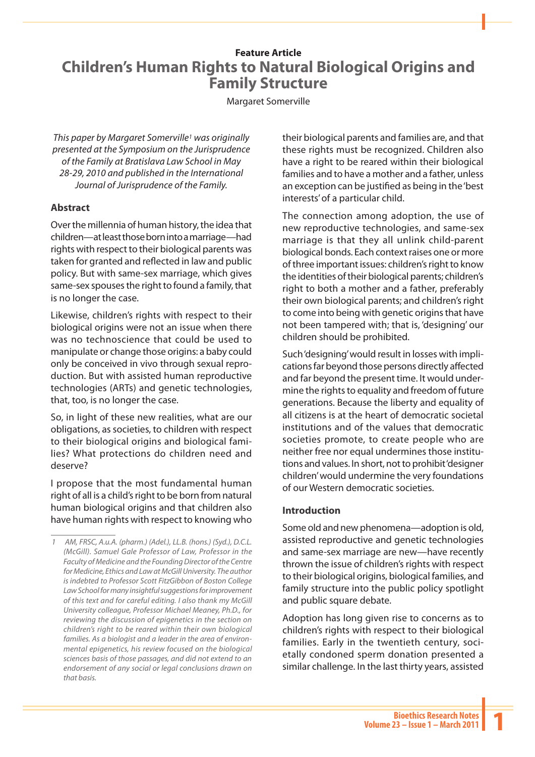# **Feature Article Children's Human Rights to Natural Biological Origins and Family Structure**

#### Margaret Somerville

*This paper by Margaret Somerville1 was originally presented at the Symposium on the Jurisprudence of the Family at Bratislava Law School in May 28-29, 2010 and published in the International Journal of Jurisprudence of the Family.* 

### **Abstract**

Over the millennia of human history, the idea that children—at least those born into a marriage—had rights with respect to their biological parents was taken for granted and reflected in law and public policy. But with same-sex marriage, which gives same-sex spouses the right to found a family, that is no longer the case.

Likewise, children's rights with respect to their biological origins were not an issue when there was no technoscience that could be used to manipulate or change those origins: a baby could only be conceived in vivo through sexual reproduction. But with assisted human reproductive technologies (ARTs) and genetic technologies, that, too, is no longer the case.

So, in light of these new realities, what are our obligations, as societies, to children with respect to their biological origins and biological families? What protections do children need and deserve?

I propose that the most fundamental human right of all is a child's right to be born from natural human biological origins and that children also have human rights with respect to knowing who their biological parents and families are, and that these rights must be recognized. Children also have a right to be reared within their biological families and to have a mother and a father, unless an exception can be justified as being in the 'best interests' of a particular child.

The connection among adoption, the use of new reproductive technologies, and same-sex marriage is that they all unlink child-parent biological bonds. Each context raises one or more of three important issues: children's right to know the identities of their biological parents; children's right to both a mother and a father, preferably their own biological parents; and children's right to come into being with genetic origins that have not been tampered with; that is, 'designing' our children should be prohibited.

Such 'designing' would result in losses with implications far beyond those persons directly affected and far beyond the present time. It would undermine the rights to equality and freedom of future generations. Because the liberty and equality of all citizens is at the heart of democratic societal institutions and of the values that democratic societies promote, to create people who are neither free nor equal undermines those institutions and values. In short, not to prohibit 'designer children' would undermine the very foundations of our Western democratic societies.

## **Introduction**

Some old and new phenomena—adoption is old, assisted reproductive and genetic technologies and same-sex marriage are new—have recently thrown the issue of children's rights with respect to their biological origins, biological families, and family structure into the public policy spotlight and public square debate.

Adoption has long given rise to concerns as to children's rights with respect to their biological families. Early in the twentieth century, societally condoned sperm donation presented a similar challenge. In the last thirty years, assisted

*<sup>1</sup> AM, FRSC, A.u.A. (pharm.) (Adel.), LL.B. (hons.) (Syd.), D.C.L. (McGill). Samuel Gale Professor of Law, Professor in the Faculty of Medicine and the Founding Director of the Centre for Medicine, Ethics and Law at McGill University. The author is indebted to Professor Scott FitzGibbon of Boston College Law School for many insightful suggestions for improvement of this text and for careful editing. I also thank my McGill University colleague, Professor Michael Meaney, Ph.D., for reviewing the discussion of epigenetics in the section on children's right to be reared within their own biological families. As a biologist and a leader in the area of environmental epigenetics, his review focused on the biological sciences basis of those passages, and did not extend to an endorsement of any social or legal conclusions drawn on that basis.*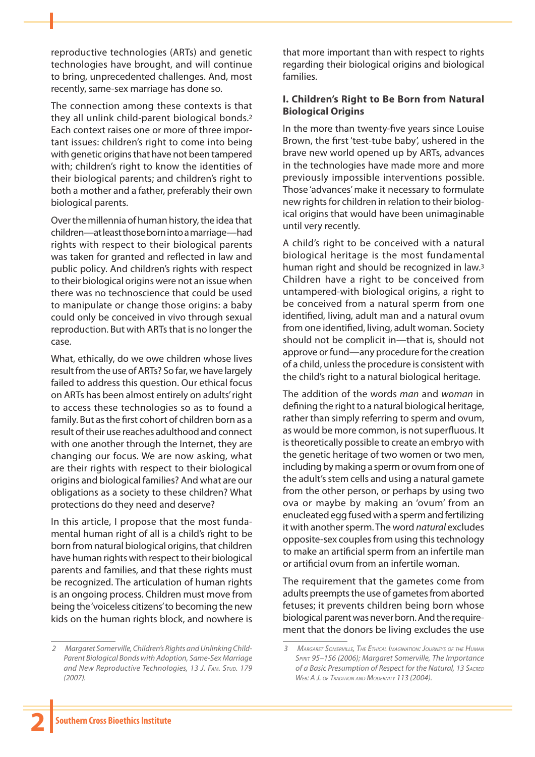reproductive technologies (ARTs) and genetic technologies have brought, and will continue to bring, unprecedented challenges. And, most recently, same-sex marriage has done so.

The connection among these contexts is that they all unlink child-parent biological bonds.2 Each context raises one or more of three important issues: children's right to come into being with genetic origins that have not been tampered with; children's right to know the identities of their biological parents; and children's right to both a mother and a father, preferably their own biological parents.

Over the millennia of human history, the idea that children—at least those born into a marriage—had rights with respect to their biological parents was taken for granted and reflected in law and public policy. And children's rights with respect to their biological origins were not an issue when there was no technoscience that could be used to manipulate or change those origins: a baby could only be conceived in vivo through sexual reproduction. But with ARTs that is no longer the case.

What, ethically, do we owe children whose lives result from the use of ARTs? So far, we have largely failed to address this question. Our ethical focus on ARTs has been almost entirely on adults' right to access these technologies so as to found a family. But as the first cohort of children born as a result of their use reaches adulthood and connect with one another through the Internet, they are changing our focus. We are now asking, what are their rights with respect to their biological origins and biological families? And what are our obligations as a society to these children? What protections do they need and deserve?

In this article, I propose that the most fundamental human right of all is a child's right to be born from natural biological origins, that children have human rights with respect to their biological parents and families, and that these rights must be recognized. The articulation of human rights is an ongoing process. Children must move from being the 'voiceless citizens' to becoming the new kids on the human rights block, and nowhere is that more important than with respect to rights regarding their biological origins and biological families.

# **I. Children's Right to Be Born from Natural Biological Origins**

In the more than twenty-five years since Louise Brown, the first 'test-tube baby', ushered in the brave new world opened up by ARTs, advances in the technologies have made more and more previously impossible interventions possible. Those 'advances' make it necessary to formulate new rights for children in relation to their biological origins that would have been unimaginable until very recently.

A child's right to be conceived with a natural biological heritage is the most fundamental human right and should be recognized in law.3 Children have a right to be conceived from untampered-with biological origins, a right to be conceived from a natural sperm from one identified, living, adult man and a natural ovum from one identified, living, adult woman. Society should not be complicit in—that is, should not approve or fund—any procedure for the creation of a child, unless the procedure is consistent with the child's right to a natural biological heritage.

The addition of the words *man* and *woman* in defining the right to a natural biological heritage, rather than simply referring to sperm and ovum, as would be more common, is not superfluous. It is theoretically possible to create an embryo with the genetic heritage of two women or two men, including by making a sperm or ovum from one of the adult's stem cells and using a natural gamete from the other person, or perhaps by using two ova or maybe by making an 'ovum' from an enucleated egg fused with a sperm and fertilizing it with another sperm. The word *natural* excludes opposite-sex couples from using this technology to make an artificial sperm from an infertile man or artificial ovum from an infertile woman.

The requirement that the gametes come from adults preempts the use of gametes from aborted fetuses; it prevents children being born whose biological parent was never born. And the requirement that the donors be living excludes the use

*<sup>2</sup> Margaret Somerville, Children's Rights and Unlinking Child-Parent Biological Bonds with Adoption, Same-Sex Marriage and New Reproductive Technologies, 13 J. Fam. Stud. 179 (2007).*

*<sup>3</sup> Margaret Somerville, The Ethical Imagination: Journeys of the Human Spirit 95–156 (2006); Margaret Somerville, The Importance of a Basic Presumption of Respect for the Natural, 13 Sacred Web: A J. of Tradition and Modernity 113 (2004).*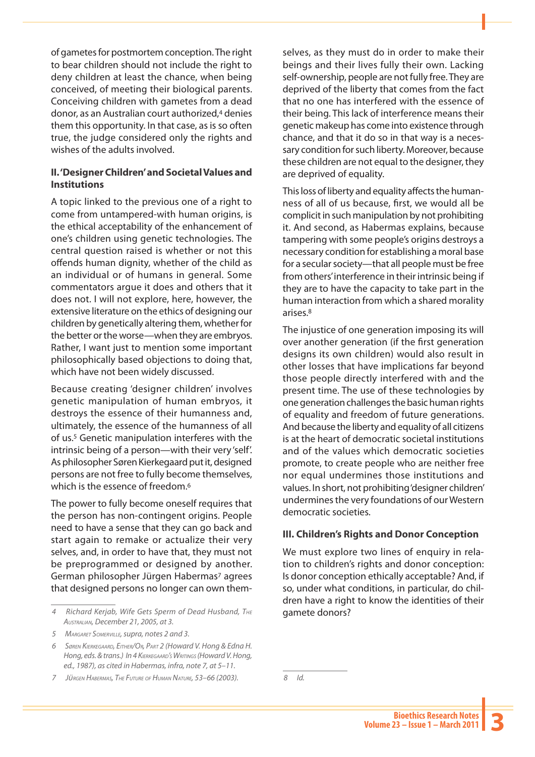of gametes for postmortem conception. The right to bear children should not include the right to deny children at least the chance, when being conceived, of meeting their biological parents. Conceiving children with gametes from a dead donor, as an Australian court authorized,4 denies them this opportunity. In that case, as is so often true, the judge considered only the rights and wishes of the adults involved.

### **II. 'Designer Children' and Societal Values and Institutions**

A topic linked to the previous one of a right to come from untampered-with human origins, is the ethical acceptability of the enhancement of one's children using genetic technologies. The central question raised is whether or not this offends human dignity, whether of the child as an individual or of humans in general. Some commentators argue it does and others that it does not. I will not explore, here, however, the extensive literature on the ethics of designing our children by genetically altering them, whether for the better or the worse—when they are embryos. Rather, I want just to mention some important philosophically based objections to doing that, which have not been widely discussed.

Because creating 'designer children' involves genetic manipulation of human embryos, it destroys the essence of their humanness and, ultimately, the essence of the humanness of all of us.5 Genetic manipulation interferes with the intrinsic being of a person—with their very 'self'. As philosopher Søren Kierkegaard put it, designed persons are not free to fully become themselves, which is the essence of freedom.<sup>6</sup>

The power to fully become oneself requires that the person has non-contingent origins. People need to have a sense that they can go back and start again to remake or actualize their very selves, and, in order to have that, they must not be preprogrammed or designed by another. German philosopher Jürgen Habermas<sup>7</sup> agrees that designed persons no longer can own them-

*7 Jürgen Habermas, The Future of Human Nature, 53–66 (2003).* 

selves, as they must do in order to make their beings and their lives fully their own. Lacking self-ownership, people are not fully free. They are deprived of the liberty that comes from the fact that no one has interfered with the essence of their being. This lack of interference means their genetic makeup has come into existence through chance, and that it do so in that way is a necessary condition for such liberty. Moreover, because these children are not equal to the designer, they are deprived of equality.

This loss of liberty and equality affects the humanness of all of us because, first, we would all be complicit in such manipulation by not prohibiting it. And second, as Habermas explains, because tampering with some people's origins destroys a necessary condition for establishing a moral base for a secular society—that all people must be free from others' interference in their intrinsic being if they are to have the capacity to take part in the human interaction from which a shared morality arises.8

The injustice of one generation imposing its will over another generation (if the first generation designs its own children) would also result in other losses that have implications far beyond those people directly interfered with and the present time. The use of these technologies by one generation challenges the basic human rights of equality and freedom of future generations. And because the liberty and equality of all citizens is at the heart of democratic societal institutions and of the values which democratic societies promote, to create people who are neither free nor equal undermines those institutions and values. In short, not prohibiting 'designer children' undermines the very foundations of our Western democratic societies.

#### **III. Children's Rights and Donor Conception**

We must explore two lines of enquiry in relation to children's rights and donor conception: Is donor conception ethically acceptable? And, if so, under what conditions, in particular, do children have a right to know the identities of their gamete donors?

*<sup>4</sup> Richard Kerjab, Wife Gets Sperm of Dead Husband, The Australian, December 21, 2005, at 3.*

*<sup>5</sup> Margaret Somerville, supra, notes 2 and 3.*

*<sup>6</sup> Søren Kierkegaard, Either/Or, Part 2 (Howard V. Hong & Edna H. Hong, eds. & trans.) In 4 Kierkegaard's Writings (Howard V. Hong, ed., 1987), as cited in Habermas, infra, note 7, at 5–11.*

*<sup>8</sup> Id.*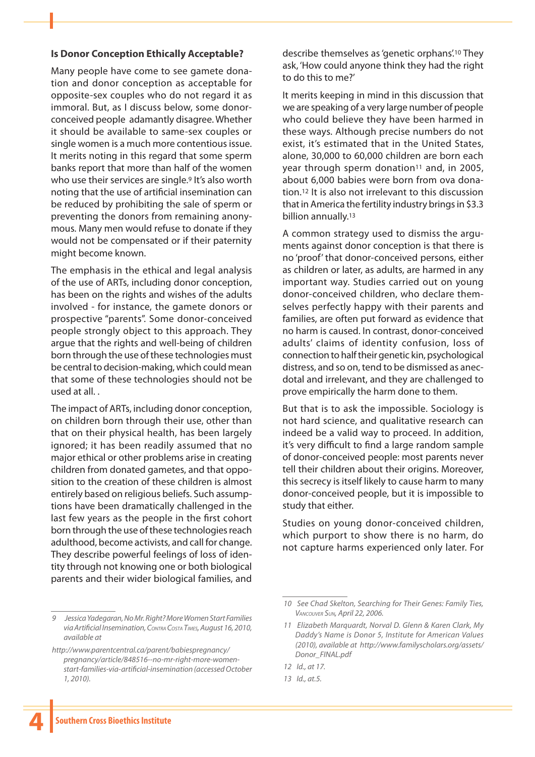#### **Is Donor Conception Ethically Acceptable?**

Many people have come to see gamete donation and donor conception as acceptable for opposite-sex couples who do not regard it as immoral. But, as I discuss below, some donorconceived people adamantly disagree. Whether it should be available to same-sex couples or single women is a much more contentious issue. It merits noting in this regard that some sperm banks report that more than half of the women who use their services are single.<sup>9</sup> It's also worth noting that the use of artificial insemination can be reduced by prohibiting the sale of sperm or preventing the donors from remaining anonymous. Many men would refuse to donate if they would not be compensated or if their paternity might become known.

The emphasis in the ethical and legal analysis of the use of ARTs, including donor conception, has been on the rights and wishes of the adults involved - for instance, the gamete donors or prospective "parents". Some donor-conceived people strongly object to this approach. They argue that the rights and well-being of children born through the use of these technologies must be central to decision-making, which could mean that some of these technologies should not be used at all. .

The impact of ARTs, including donor conception, on children born through their use, other than that on their physical health, has been largely ignored; it has been readily assumed that no major ethical or other problems arise in creating children from donated gametes, and that opposition to the creation of these children is almost entirely based on religious beliefs. Such assumptions have been dramatically challenged in the last few years as the people in the first cohort born through the use of these technologies reach adulthood, become activists, and call for change. They describe powerful feelings of loss of identity through not knowing one or both biological parents and their wider biological families, and

*9 Jessica Yadegaran, No Mr. Right? More Women Start Families via Artificial Insemination, Contra Costa Times, August 16, 2010, available at*

*http://www.parentcentral.ca/parent/babiespregnancy/ pregnancy/article/848516--no-mr-right-more-womenstart-families-via-artificial-insemination (accessed October 1, 2010).*

describe themselves as 'genetic orphans'.10 They ask, 'How could anyone think they had the right to do this to me?'

It merits keeping in mind in this discussion that we are speaking of a very large number of people who could believe they have been harmed in these ways. Although precise numbers do not exist, it's estimated that in the United States, alone, 30,000 to 60,000 children are born each year through sperm donation<sup>11</sup> and, in 2005, about 6,000 babies were born from ova donation.12 It is also not irrelevant to this discussion that in America the fertility industry brings in \$3.3 billion annually.13

A common strategy used to dismiss the arguments against donor conception is that there is no 'proof' that donor-conceived persons, either as children or later, as adults, are harmed in any important way. Studies carried out on young donor-conceived children, who declare themselves perfectly happy with their parents and families, are often put forward as evidence that no harm is caused. In contrast, donor-conceived adults' claims of identity confusion, loss of connection to half their genetic kin, psychological distress, and so on, tend to be dismissed as anecdotal and irrelevant, and they are challenged to prove empirically the harm done to them.

But that is to ask the impossible. Sociology is not hard science, and qualitative research can indeed be a valid way to proceed. In addition, it's very difficult to find a large random sample of donor-conceived people: most parents never tell their children about their origins. Moreover, this secrecy is itself likely to cause harm to many donor-conceived people, but it is impossible to study that either.

Studies on young donor-conceived children, which purport to show there is no harm, do not capture harms experienced only later. For

**4**

*<sup>10</sup> See Chad Skelton, Searching for Their Genes: Family Ties, Vancouver Sun, April 22, 2006.*

*<sup>11</sup> Elizabeth Marquardt, Norval D. Glenn & Karen Clark, My Daddy's Name is Donor 5, Institute for American Values (2010), available at http://www.familyscholars.org/assets/ Donor\_FINAL.pdf*

*<sup>12</sup> Id., at 17.*

*<sup>13</sup> Id., at.5.*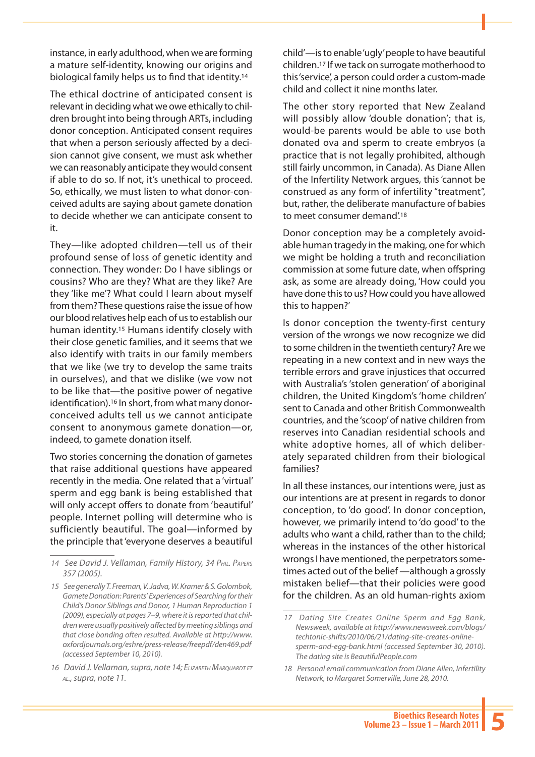instance, in early adulthood, when we are forming a mature self-identity, knowing our origins and biological family helps us to find that identity.14

The ethical doctrine of anticipated consent is relevant in deciding what we owe ethically to children brought into being through ARTs, including donor conception. Anticipated consent requires that when a person seriously affected by a decision cannot give consent, we must ask whether we can reasonably anticipate they would consent if able to do so. If not, it's unethical to proceed. So, ethically, we must listen to what donor-conceived adults are saying about gamete donation to decide whether we can anticipate consent to it.

They—like adopted children—tell us of their profound sense of loss of genetic identity and connection. They wonder: Do I have siblings or cousins? Who are they? What are they like? Are they 'like me'? What could I learn about myself from them? These questions raise the issue of how our blood relatives help each of us to establish our human identity.15 Humans identify closely with their close genetic families, and it seems that we also identify with traits in our family members that we like (we try to develop the same traits in ourselves), and that we dislike (we vow not to be like that—the positive power of negative identification).16 In short, from what many donorconceived adults tell us we cannot anticipate consent to anonymous gamete donation—or, indeed, to gamete donation itself.

Two stories concerning the donation of gametes that raise additional questions have appeared recently in the media. One related that a 'virtual' sperm and egg bank is being established that will only accept offers to donate from 'beautiful' people. Internet polling will determine who is sufficiently beautiful. The goal—informed by the principle that 'everyone deserves a beautiful

child'—is to enable 'ugly' people to have beautiful children.17 If we tack on surrogate motherhood to this 'service', a person could order a custom-made child and collect it nine months later.

The other story reported that New Zealand will possibly allow 'double donation'; that is, would-be parents would be able to use both donated ova and sperm to create embryos (a practice that is not legally prohibited, although still fairly uncommon, in Canada). As Diane Allen of the Infertility Network argues, this 'cannot be construed as any form of infertility "treatment", but, rather, the deliberate manufacture of babies to meet consumer demand'.<sup>18</sup>

Donor conception may be a completely avoidable human tragedy in the making, one for which we might be holding a truth and reconciliation commission at some future date, when offspring ask, as some are already doing, 'How could you have done this to us? How could you have allowed this to happen?'

Is donor conception the twenty-first century version of the wrongs we now recognize we did to some children in the twentieth century? Are we repeating in a new context and in new ways the terrible errors and grave injustices that occurred with Australia's 'stolen generation' of aboriginal children, the United Kingdom's 'home children' sent to Canada and other British Commonwealth countries, and the 'scoop' of native children from reserves into Canadian residential schools and white adoptive homes, all of which deliberately separated children from their biological families?

In all these instances, our intentions were, just as our intentions are at present in regards to donor conception, to 'do good'. In donor conception, however, we primarily intend to 'do good' to the adults who want a child, rather than to the child; whereas in the instances of the other historical wrongs I have mentioned, the perpetrators sometimes acted out of the belief —although a grossly mistaken belief—that their policies were good for the children. As an old human-rights axiom

*<sup>14</sup> See David J. Vellaman, Family History, 34 Phil. Papers 357 (2005).*

*<sup>15</sup> See generally T. Freeman, V. Jadva, W. Kramer & S. Golombok, Gamete Donation: Parents' Experiences of Searching for their Child's Donor Siblings and Donor, 1 Human Reproduction 1 (2009), especially at pages 7–9, where it is reported that children were usually positively affected by meeting siblings and that close bonding often resulted. Available at http://www. oxfordjournals.org/eshre/press-release/freepdf/den469.pdf (accessed September 10, 2010).*

*<sup>16</sup> David J. Vellaman, supra, note 14; ElizabethMarquardt et al., supra, note 11.*

*<sup>17</sup> Dating Site Creates Online Sperm and Egg Bank, Newsweek, available at http://www.newsweek.com/blogs/ techtonic-shifts/2010/06/21/dating-site-creates-onlinesperm-and-egg-bank.html (accessed September 30, 2010). The dating site is BeautifulPeople.com*

*<sup>18</sup> Personal email communication from Diane Allen, Infertility Network, to Margaret Somerville, June 28, 2010.*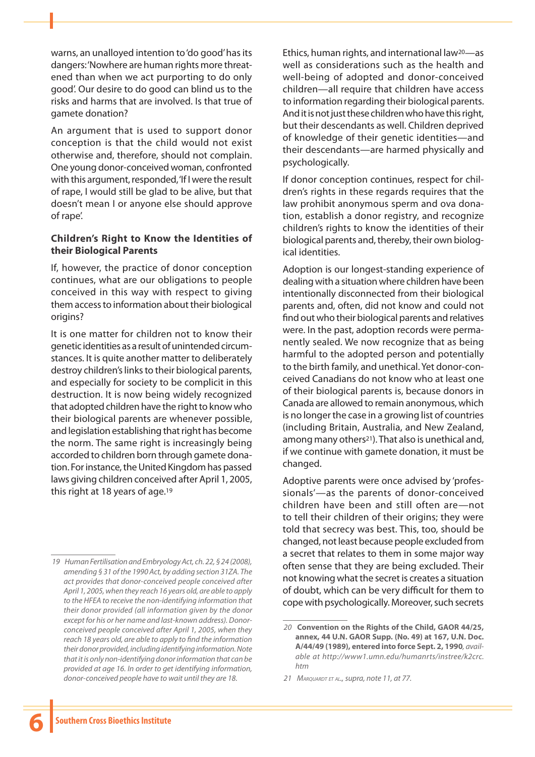warns, an unalloyed intention to 'do good' has its dangers: 'Nowhere are human rights more threatened than when we act purporting to do only good'. Our desire to do good can blind us to the risks and harms that are involved. Is that true of gamete donation?

An argument that is used to support donor conception is that the child would not exist otherwise and, therefore, should not complain. One young donor-conceived woman, confronted with this argument, responded, 'If I were the result of rape, I would still be glad to be alive, but that doesn't mean I or anyone else should approve of rape'.

### **Children's Right to Know the Identities of their Biological Parents**

If, however, the practice of donor conception continues, what are our obligations to people conceived in this way with respect to giving them access to information about their biological origins?

It is one matter for children not to know their genetic identities as a result of unintended circumstances. It is quite another matter to deliberately destroy children's links to their biological parents, and especially for society to be complicit in this destruction. It is now being widely recognized that adopted children have the right to know who their biological parents are whenever possible, and legislation establishing that right has become the norm. The same right is increasingly being accorded to children born through gamete donation. For instance, the United Kingdom has passed laws giving children conceived after April 1, 2005, this right at 18 years of age.19

Ethics, human rights, and international law20—as well as considerations such as the health and well-being of adopted and donor-conceived children—all require that children have access to information regarding their biological parents. And it is not just these children who have this right, but their descendants as well. Children deprived of knowledge of their genetic identities—and their descendants—are harmed physically and psychologically.

If donor conception continues, respect for children's rights in these regards requires that the law prohibit anonymous sperm and ova donation, establish a donor registry, and recognize children's rights to know the identities of their biological parents and, thereby, their own biological identities.

Adoption is our longest-standing experience of dealing with a situation where children have been intentionally disconnected from their biological parents and, often, did not know and could not find out who their biological parents and relatives were. In the past, adoption records were permanently sealed. We now recognize that as being harmful to the adopted person and potentially to the birth family, and unethical. Yet donor-conceived Canadians do not know who at least one of their biological parents is, because donors in Canada are allowed to remain anonymous, which is no longer the case in a growing list of countries (including Britain, Australia, and New Zealand, among many others<sup>21</sup>). That also is unethical and, if we continue with gamete donation, it must be changed.

Adoptive parents were once advised by 'professionals'—as the parents of donor-conceived children have been and still often are—not to tell their children of their origins; they were told that secrecy was best. This, too, should be changed, not least because people excluded from a secret that relates to them in some major way often sense that they are being excluded. Their not knowing what the secret is creates a situation of doubt, which can be very difficult for them to cope with psychologically. Moreover, such secrets

*<sup>19</sup> Human Fertilisation and Embryology Act, ch. 22, § 24 (2008), amending § 31 of the 1990 Act, by adding section 31ZA. The act provides that donor-conceived people conceived after April 1, 2005, when they reach 16 years old, are able to apply to the HFEA to receive the non-identifying information that their donor provided (all information given by the donor except for his or her name and last-known address). Donorconceived people conceived after April 1, 2005, when they reach 18 years old, are able to apply to find the information their donor provided, including identifying information. Note that it is only non-identifying donor information that can be provided at age 16. In order to get identifying information, donor-conceived people have to wait until they are 18.*

*<sup>20</sup>* **Convention on the Rights of the Child, GAOR 44/25, annex, 44 U.N. GAOR Supp. (No. 49) at 167, U.N. Doc. A/44/49 (1989), entered into force Sept. 2, 1990***, available at http://www1.umn.edu/humanrts/instree/k2crc. htm*

*<sup>21</sup> Marquardt et al., supra, note 11, at 77.*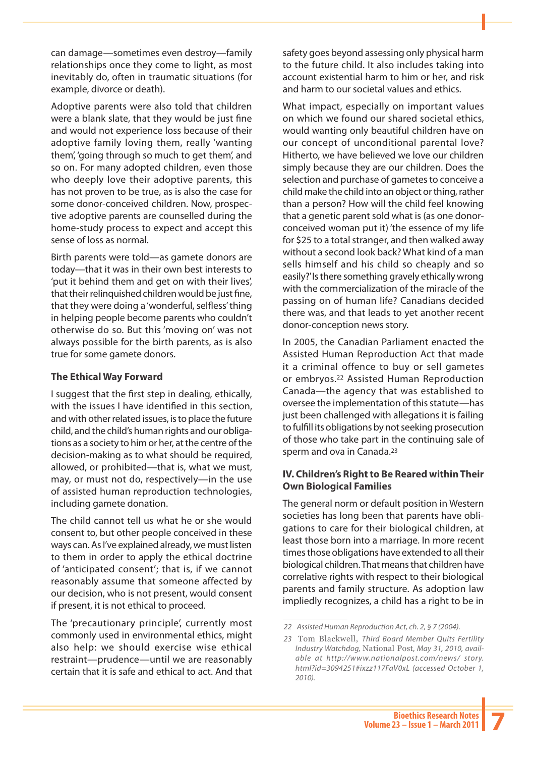can damage—sometimes even destroy—family relationships once they come to light, as most inevitably do, often in traumatic situations (for example, divorce or death).

Adoptive parents were also told that children were a blank slate, that they would be just fine and would not experience loss because of their adoptive family loving them, really 'wanting them', 'going through so much to get them', and so on. For many adopted children, even those who deeply love their adoptive parents, this has not proven to be true, as is also the case for some donor-conceived children. Now, prospective adoptive parents are counselled during the home-study process to expect and accept this sense of loss as normal.

Birth parents were told—as gamete donors are today—that it was in their own best interests to 'put it behind them and get on with their lives', that their relinquished children would be just fine, that they were doing a 'wonderful, selfless' thing in helping people become parents who couldn't otherwise do so. But this 'moving on' was not always possible for the birth parents, as is also true for some gamete donors.

## **The Ethical Way Forward**

I suggest that the first step in dealing, ethically, with the issues I have identified in this section, and with other related issues, is to place the future child, and the child's human rights and our obligations as a society to him or her, at the centre of the decision-making as to what should be required, allowed, or prohibited—that is, what we must, may, or must not do, respectively—in the use of assisted human reproduction technologies, including gamete donation.

The child cannot tell us what he or she would consent to, but other people conceived in these ways can. As I've explained already, we must listen to them in order to apply the ethical doctrine of 'anticipated consent'; that is, if we cannot reasonably assume that someone affected by our decision, who is not present, would consent if present, it is not ethical to proceed.

The 'precautionary principle', currently most commonly used in environmental ethics, might also help: we should exercise wise ethical restraint—prudence—until we are reasonably certain that it is safe and ethical to act. And that

safety goes beyond assessing only physical harm to the future child. It also includes taking into account existential harm to him or her, and risk and harm to our societal values and ethics.

What impact, especially on important values on which we found our shared societal ethics, would wanting only beautiful children have on our concept of unconditional parental love? Hitherto, we have believed we love our children simply because they are our children. Does the selection and purchase of gametes to conceive a child make the child into an object or thing, rather than a person? How will the child feel knowing that a genetic parent sold what is (as one donorconceived woman put it) 'the essence of my life for \$25 to a total stranger, and then walked away without a second look back? What kind of a man sells himself and his child so cheaply and so easily?' Is there something gravely ethically wrong with the commercialization of the miracle of the passing on of human life? Canadians decided there was, and that leads to yet another recent donor-conception news story.

In 2005, the Canadian Parliament enacted the Assisted Human Reproduction Act that made it a criminal offence to buy or sell gametes or embryos.22 Assisted Human Reproduction Canada—the agency that was established to oversee the implementation of this statute—has just been challenged with allegations it is failing to fulfill its obligations by not seeking prosecution of those who take part in the continuing sale of sperm and ova in Canada.<sup>23</sup>

## **IV. Children's Right to Be Reared within Their Own Biological Families**

The general norm or default position in Western societies has long been that parents have obligations to care for their biological children, at least those born into a marriage. In more recent times those obligations have extended to all their biological children. That means that children have correlative rights with respect to their biological parents and family structure. As adoption law impliedly recognizes, a child has a right to be in

*<sup>22</sup> Assisted Human Reproduction Act, ch. 2, § 7 (2004).*

*<sup>23</sup>* Tom Blackwell, *Third Board Member Quits Fertility Industry Watchdog,* National Post*, May 31, 2010, available at http://www.nationalpost.com/news/ story. html?id=3094251#ixzz117FaV0xL (accessed October 1, 2010).*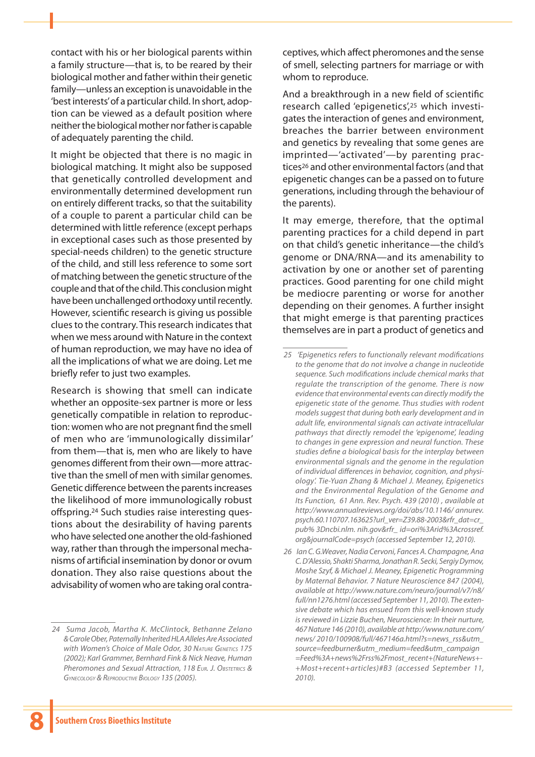contact with his or her biological parents within a family structure—that is, to be reared by their biological mother and father within their genetic family—unless an exception is unavoidable in the 'best interests' of a particular child. In short, adoption can be viewed as a default position where neither the biological mother nor father is capable of adequately parenting the child.

It might be objected that there is no magic in biological matching. It might also be supposed that genetically controlled development and environmentally determined development run on entirely different tracks, so that the suitability of a couple to parent a particular child can be determined with little reference (except perhaps in exceptional cases such as those presented by special-needs children) to the genetic structure of the child, and still less reference to some sort of matching between the genetic structure of the couple and that of the child. This conclusion might have been unchallenged orthodoxy until recently. However, scientific research is giving us possible clues to the contrary. This research indicates that when we mess around with Nature in the context of human reproduction, we may have no idea of all the implications of what we are doing. Let me briefly refer to just two examples.

Research is showing that smell can indicate whether an opposite-sex partner is more or less genetically compatible in relation to reproduction: women who are not pregnant find the smell of men who are 'immunologically dissimilar' from them—that is, men who are likely to have genomes different from their own—more attractive than the smell of men with similar genomes. Genetic difference between the parents increases the likelihood of more immunologically robust offspring.24 Such studies raise interesting questions about the desirability of having parents who have selected one another the old-fashioned way, rather than through the impersonal mechanisms of artificial insemination by donor or ovum donation. They also raise questions about the advisability of women who are taking oral contra-

*24 Suma Jacob, Martha K. McClintock, Bethanne Zelano &Carole Ober, Paternally Inherited HLA Alleles Are Associated with Women's Choice of Male Odor, 30 Nature Genetics 175 (2002); Karl Grammer, Bernhard Fink & Nick Neave, Human Pheromones and Sexual Attraction, 118 Eur. J. Obstetrics & Gynecology & Reproductive Biology 135 (2005).*

ceptives, which affect pheromones and the sense of smell, selecting partners for marriage or with whom to reproduce.

And a breakthrough in a new field of scientific research called 'epigenetics',25 which investigates the interaction of genes and environment, breaches the barrier between environment and genetics by revealing that some genes are imprinted—'activated'—by parenting practices26 and other environmental factors (and that epigenetic changes can be a passed on to future generations, including through the behaviour of the parents).

It may emerge, therefore, that the optimal parenting practices for a child depend in part on that child's genetic inheritance—the child's genome or DNA/RNA—and its amenability to activation by one or another set of parenting practices. Good parenting for one child might be mediocre parenting or worse for another depending on their genomes. A further insight that might emerge is that parenting practices themselves are in part a product of genetics and

*<sup>25 &#</sup>x27;Epigenetics refers to functionally relevant modifications to the genome that do not involve a change in nucleotide sequence. Such modifications include chemical marks that regulate the transcription of the genome. There is now evidence that environmental events can directly modify the epigenetic state of the genome. Thus studies with rodent models suggest that during both early development and in adult life, environmental signals can activate intracellular pathways that directly remodel the 'epigenome', leading to changes in gene expression and neural function. These studies define a biological basis for the interplay between environmental signals and the genome in the regulation of individual differences in behavior, cognition, and physiology'. Tie-Yuan Zhang & Michael J. Meaney, Epigenetics and the Environmental Regulation of the Genome and Its Function, 61 Ann. Rev. Psych. 439 (2010) , available at http://www.annualreviews.org/doi/abs/10.1146/ annurev. psych.60.110707.163625?url\_ver=Z39.88-2003&rfr\_dat=cr\_ pub% 3Dncbi.nlm. nih.gov&rfr\_ id=ori%3Arid%3Acrossref. org&journalCode=psych (accessed September 12, 2010).* 

*<sup>26</sup> Ian C. G.Weaver, Nadia Cervoni, Fances A. Champagne, Ana C.D'Alessio, Shakti Sharma, Jonathan R. Secki, SergiyDymov, Moshe Szyf, & Michael J. Meaney, Epigenetic Programming by Maternal Behavior. 7 Nature Neuroscience 847 (2004), available at http://www.nature.com/neuro/journal/v7/n8/ full/nn1276.html (accessed September 11, 2010). The extensive debate which has ensued from this well-known study is reviewed in Lizzie Buchen, Neuroscience: In their nurture, 467 Nature 146 (2010), available at http://www.nature.com/ news/ 2010/100908/full/467146a.html?s=news\_rss&utm\_ source=feedburner&utm\_medium=feed&utm\_campaign =Feed%3A+news%2Frss%2Fmost\_recent+(NatureNews+- +Most+recent+articles)#B3 (accessed September 11, 2010).*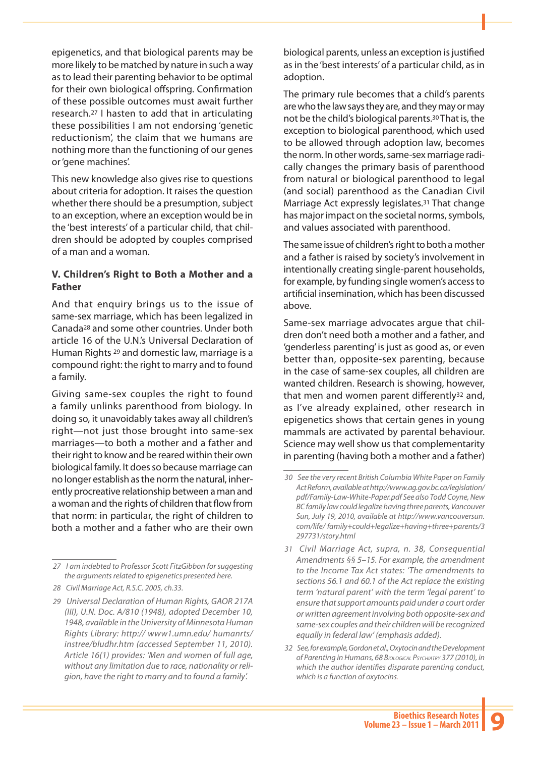epigenetics, and that biological parents may be more likely to be matched by nature in such a way as to lead their parenting behavior to be optimal for their own biological offspring. Confirmation of these possible outcomes must await further research.27 I hasten to add that in articulating these possibilities I am not endorsing 'genetic reductionism', the claim that we humans are nothing more than the functioning of our genes or 'gene machines'.

This new knowledge also gives rise to questions about criteria for adoption. It raises the question whether there should be a presumption, subject to an exception, where an exception would be in the 'best interests' of a particular child, that children should be adopted by couples comprised of a man and a woman.

### **V. Children's Right to Both a Mother and a Father**

And that enquiry brings us to the issue of same-sex marriage, which has been legalized in Canada28 and some other countries. Under both article 16 of the U.N.'s Universal Declaration of Human Rights 29 and domestic law, marriage is a compound right: the right to marry and to found a family.

Giving same-sex couples the right to found a family unlinks parenthood from biology. In doing so, it unavoidably takes away all children's right—not just those brought into same-sex marriages—to both a mother and a father and their right to know and be reared within their own biological family. It does so because marriage can no longer establish as the norm the natural, inherently procreative relationship between a man and a woman and the rights of children that flow from that norm: in particular, the right of children to both a mother and a father who are their own

biological parents, unless an exception is justified as in the 'best interests' of a particular child, as in adoption.

The primary rule becomes that a child's parents are who the law says they are, and they may or may not be the child's biological parents.30 That is, the exception to biological parenthood, which used to be allowed through adoption law, becomes the norm. In other words, same-sex marriage radically changes the primary basis of parenthood from natural or biological parenthood to legal (and social) parenthood as the Canadian Civil Marriage Act expressly legislates.31 That change has major impact on the societal norms, symbols, and values associated with parenthood.

The same issue of children's right to both a mother and a father is raised by society's involvement in intentionally creating single-parent households, for example, by funding single women's access to artificial insemination, which has been discussed above.

Same-sex marriage advocates argue that children don't need both a mother and a father, and 'genderless parenting' is just as good as, or even better than, opposite-sex parenting, because in the case of same-sex couples, all children are wanted children. Research is showing, however, that men and women parent differently32 and, as I've already explained, other research in epigenetics shows that certain genes in young mammals are activated by parental behaviour. Science may well show us that complementarity in parenting (having both a mother and a father)

*<sup>27</sup> I am indebted to Professor Scott FitzGibbon for suggesting the arguments related to epigenetics presented here.*

*<sup>28</sup> Civil Marriage Act, R.S.C. 2005, ch.33.*

*<sup>29</sup> Universal Declaration of Human Rights, GAOR 217A (III), U.N. Doc. A/810 (1948), adopted December 10, 1948, available in the University of Minnesota Human Rights Library: http:// www1.umn.edu/ humanrts/ instree/bludhr.htm (accessed September 11, 2010). Article 16(1) provides: 'Men and women of full age, without any limitation due to race, nationality or religion, have the right to marry and to found a family'.* 

*<sup>30</sup> See the very recent British Columbia White Paper on Family Act Reform, available at http://www.ag.gov.bc.ca/legislation/ pdf/Family-Law-White-Paper.pdf See also Todd Coyne, New BC family law could legalize having three parents, Vancouver Sun, July 19, 2010, available at http://www.vancouversun. com/life/ family+could+legalize+having+three+parents/3 297731/story.html*

*<sup>31</sup> Civil Marriage Act, supra, n. 38, Consequential Amendments §§ 5–15. For example, the amendment to the Income Tax Act states: 'The amendments to sections 56.1 and 60.1 of the Act replace the existing term 'natural parent' with the term 'legal parent' to ensure that support amounts paid under a court order or written agreement involving both opposite-sex and same-sex couples and their children will be recognized equally in federal law' (emphasis added).*

*<sup>32</sup> See, for example, Gordon et al., Oxytocin and the Development of Parenting in Humans, 68 Biological Psychiatry 377 (2010), in which the author identifies disparate parenting conduct, which is a function of oxytocins.*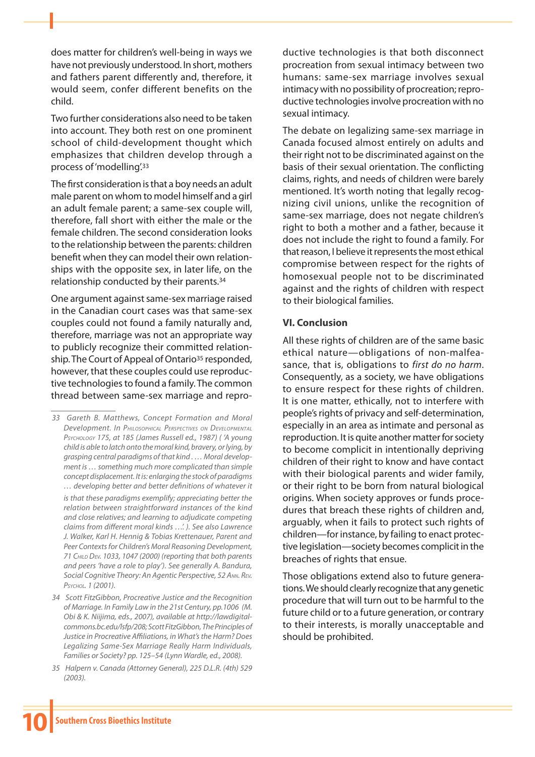does matter for children's well-being in ways we have not previously understood. In short, mothers and fathers parent differently and, therefore, it would seem, confer different benefits on the child.

Two further considerations also need to be taken into account. They both rest on one prominent school of child-development thought which emphasizes that children develop through a process of 'modelling'.33

The first consideration is that a boy needs an adult male parent on whom to model himself and a girl an adult female parent; a same-sex couple will, therefore, fall short with either the male or the female children. The second consideration looks to the relationship between the parents: children benefit when they can model their own relationships with the opposite sex, in later life, on the relationship conducted by their parents.34

One argument against same-sex marriage raised in the Canadian court cases was that same-sex couples could not found a family naturally and, therefore, marriage was not an appropriate way to publicly recognize their committed relationship. The Court of Appeal of Ontario<sup>35</sup> responded, however, that these couples could use reproductive technologies to found a family. The common thread between same-sex marriage and repro-

*35 Halpern v. Canada (Attorney General), 225 D.L.R. (4th) 529 (2003).*

ductive technologies is that both disconnect procreation from sexual intimacy between two humans: same-sex marriage involves sexual intimacy with no possibility of procreation; reproductive technologies involve procreation with no sexual intimacy.

The debate on legalizing same-sex marriage in Canada focused almost entirely on adults and their right not to be discriminated against on the basis of their sexual orientation. The conflicting claims, rights, and needs of children were barely mentioned. It's worth noting that legally recognizing civil unions, unlike the recognition of same-sex marriage, does not negate children's right to both a mother and a father, because it does not include the right to found a family. For that reason, I believe it represents the most ethical compromise between respect for the rights of homosexual people not to be discriminated against and the rights of children with respect to their biological families.

#### **VI. Conclusion**

All these rights of children are of the same basic ethical nature—obligations of non-malfeasance, that is, obligations to *first do no harm*. Consequently, as a society, we have obligations to ensure respect for these rights of children. It is one matter, ethically, not to interfere with people's rights of privacy and self-determination, especially in an area as intimate and personal as reproduction. It is quite another matter for society to become complicit in intentionally depriving children of their right to know and have contact with their biological parents and wider family, or their right to be born from natural biological origins. When society approves or funds procedures that breach these rights of children and, arguably, when it fails to protect such rights of children—for instance, by failing to enact protective legislation—society becomes complicit in the breaches of rights that ensue.

Those obligations extend also to future generations. We should clearly recognize that any genetic procedure that will turn out to be harmful to the future child or to a future generation, or contrary to their interests, is morally unacceptable and should be prohibited.

*<sup>33</sup> Gareth B. Matthews, Concept Formation and Moral Development. In Philosophical Perspectives on Developmental Psychology 175, at 185 (James Russell ed., 1987) ( 'A young child is able to latch onto the moral kind, bravery, or lying, by grasping central paradigms of that kind . … Moral development is … something much more complicated than simple concept displacement. It is: enlarging the stock of paradigms … developing better and better definitions of whatever it is that these paradigms exemplify; appreciating better the relation between straightforward instances of the kind and close relatives; and learning to adjudicate competing claims from different moral kinds …'. ). See also Lawrence J. Walker, Karl H. Hennig & Tobias Krettenauer, Parent and Peer Contexts for Children's Moral Reasoning Development, 71 Child Dev. 1033, 1047 (2000) (reporting that both parents and peers 'have a role to play'). See generally A. Bandura, Social Cognitive Theory: An Agentic Perspective, 52 Ann. Rev. Psychol. 1 (2001).* 

*<sup>34</sup> Scott FitzGibbon, Procreative Justice and the Recognition of Marriage. In Family Law in the 21st Century, pp.1006 (M. Obi & K. Niijima, eds., 2007), available at http://lawdigitalcommons.bc.edu/lsfp/208; Scott FitzGibbon, The Principles of Justice in Procreative Affiliations, in What's the Harm? Does Legalizing Same-Sex Marriage Really Harm Individuals, Families or Society? pp. 125–54 (Lynn Wardle, ed., 2008).*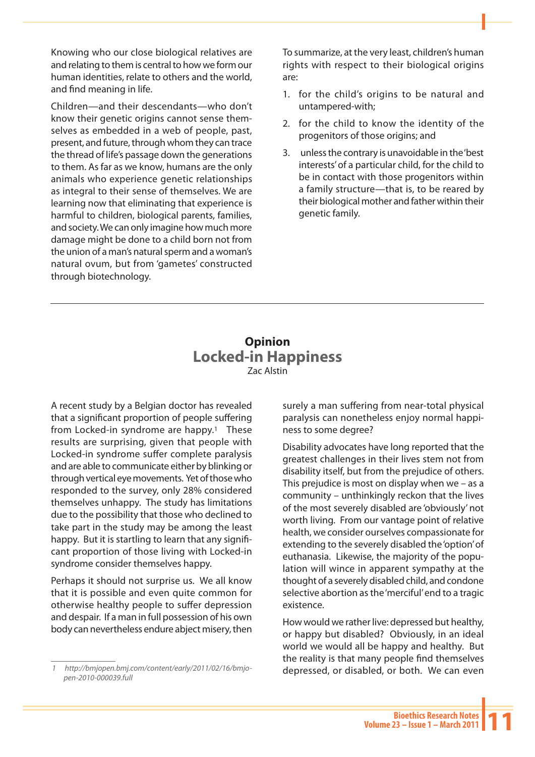Knowing who our close biological relatives are and relating to them is central to how we form our human identities, relate to others and the world, and find meaning in life.

Children—and their descendants—who don't know their genetic origins cannot sense themselves as embedded in a web of people, past, present, and future, through whom they can trace the thread of life's passage down the generations to them. As far as we know, humans are the only animals who experience genetic relationships as integral to their sense of themselves. We are learning now that eliminating that experience is harmful to children, biological parents, families, and society. We can only imagine how much more damage might be done to a child born not from the union of a man's natural sperm and a woman's natural ovum, but from 'gametes' constructed through biotechnology.

To summarize, at the very least, children's human rights with respect to their biological origins are:

- 1. for the child's origins to be natural and untampered-with;
- 2. for the child to know the identity of the progenitors of those origins; and
- 3. unless the contrary is unavoidable in the 'best interests' of a particular child, for the child to be in contact with those progenitors within a family structure—that is, to be reared by their biological mother and father within their genetic family.

# **Opinion Locked-in Happiness** Zac Alstin

A recent study by a Belgian doctor has revealed that a significant proportion of people suffering from Locked-in syndrome are happy.<sup>1</sup> These results are surprising, given that people with Locked-in syndrome suffer complete paralysis and are able to communicate either by blinking or through vertical eye movements. Yet of those who responded to the survey, only 28% considered themselves unhappy. The study has limitations due to the possibility that those who declined to take part in the study may be among the least happy. But it is startling to learn that any significant proportion of those living with Locked-in syndrome consider themselves happy.

Perhaps it should not surprise us. We all know that it is possible and even quite common for otherwise healthy people to suffer depression and despair. If a man in full possession of his own body can nevertheless endure abject misery, then

surely a man suffering from near-total physical paralysis can nonetheless enjoy normal happiness to some degree?

Disability advocates have long reported that the greatest challenges in their lives stem not from disability itself, but from the prejudice of others. This prejudice is most on display when we – as a community – unthinkingly reckon that the lives of the most severely disabled are 'obviously' not worth living. From our vantage point of relative health, we consider ourselves compassionate for extending to the severely disabled the 'option' of euthanasia. Likewise, the majority of the population will wince in apparent sympathy at the thought of a severely disabled child, and condone selective abortion as the 'merciful' end to a tragic existence.

How would we rather live: depressed but healthy, or happy but disabled? Obviously, in an ideal world we would all be happy and healthy. But the reality is that many people find themselves depressed, or disabled, or both. We can even

*<sup>1</sup> http://bmjopen.bmj.com/content/early/2011/02/16/bmjopen-2010-000039.full*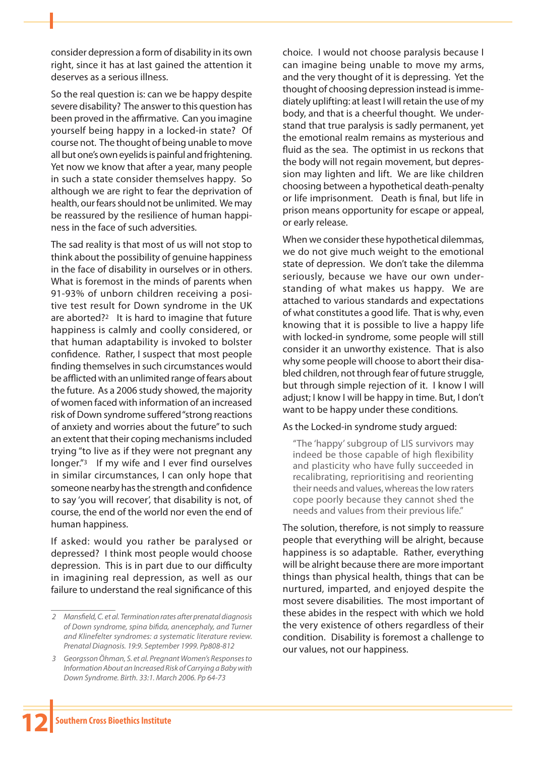consider depression a form of disability in its own right, since it has at last gained the attention it deserves as a serious illness.

So the real question is: can we be happy despite severe disability? The answer to this question has been proved in the affirmative. Can you imagine yourself being happy in a locked-in state? Of course not. The thought of being unable to move all but one's own eyelids is painful and frightening. Yet now we know that after a year, many people in such a state consider themselves happy. So although we are right to fear the deprivation of health, our fears should not be unlimited. We may be reassured by the resilience of human happiness in the face of such adversities.

The sad reality is that most of us will not stop to think about the possibility of genuine happiness in the face of disability in ourselves or in others. What is foremost in the minds of parents when 91-93% of unborn children receiving a positive test result for Down syndrome in the UK are aborted?2 It is hard to imagine that future happiness is calmly and coolly considered, or that human adaptability is invoked to bolster confidence. Rather, I suspect that most people finding themselves in such circumstances would be afflicted with an unlimited range of fears about the future. As a 2006 study showed, the majority of women faced with information of an increased risk of Down syndrome suffered "strong reactions of anxiety and worries about the future" to such an extent that their coping mechanisms included trying "to live as if they were not pregnant any longer."3 If my wife and I ever find ourselves in similar circumstances, I can only hope that someone nearby has the strength and confidence to say 'you will recover', that disability is not, of course, the end of the world nor even the end of human happiness.

If asked: would you rather be paralysed or depressed? I think most people would choose depression. This is in part due to our difficulty in imagining real depression, as well as our failure to understand the real significance of this choice. I would not choose paralysis because I can imagine being unable to move my arms, and the very thought of it is depressing. Yet the thought of choosing depression instead is immediately uplifting: at least I will retain the use of my body, and that is a cheerful thought. We understand that true paralysis is sadly permanent, yet the emotional realm remains as mysterious and fluid as the sea. The optimist in us reckons that the body will not regain movement, but depression may lighten and lift. We are like children choosing between a hypothetical death-penalty or life imprisonment. Death is final, but life in prison means opportunity for escape or appeal, or early release.

When we consider these hypothetical dilemmas, we do not give much weight to the emotional state of depression. We don't take the dilemma seriously, because we have our own understanding of what makes us happy. We are attached to various standards and expectations of what constitutes a good life. That is why, even knowing that it is possible to live a happy life with locked-in syndrome, some people will still consider it an unworthy existence. That is also why some people will choose to abort their disabled children, not through fear of future struggle, but through simple rejection of it. I know I will adjust; I know I will be happy in time. But, I don't want to be happy under these conditions.

#### As the Locked-in syndrome study argued:

"The 'happy' subgroup of LIS survivors may indeed be those capable of high flexibility and plasticity who have fully succeeded in recalibrating, reprioritising and reorienting their needs and values, whereas the low raters cope poorly because they cannot shed the needs and values from their previous life."

The solution, therefore, is not simply to reassure people that everything will be alright, because happiness is so adaptable. Rather, everything will be alright because there are more important things than physical health, things that can be nurtured, imparted, and enjoyed despite the most severe disabilities. The most important of these abides in the respect with which we hold the very existence of others regardless of their condition. Disability is foremost a challenge to our values, not our happiness.

*<sup>2</sup> Mansfield, C. et al. Termination rates after prenatal diagnosis of Down syndrome, spina bifida, anencephaly, and Turner and Klinefelter syndromes: a systematic literature review. Prenatal Diagnosis. 19:9. September 1999. Pp808-812*

*<sup>3</sup> Georgsson Öhman, S. et al. Pregnant Women's Responses to Information About an Increased Risk of Carrying a Baby with Down Syndrome. Birth. 33:1. March 2006. Pp 64-73*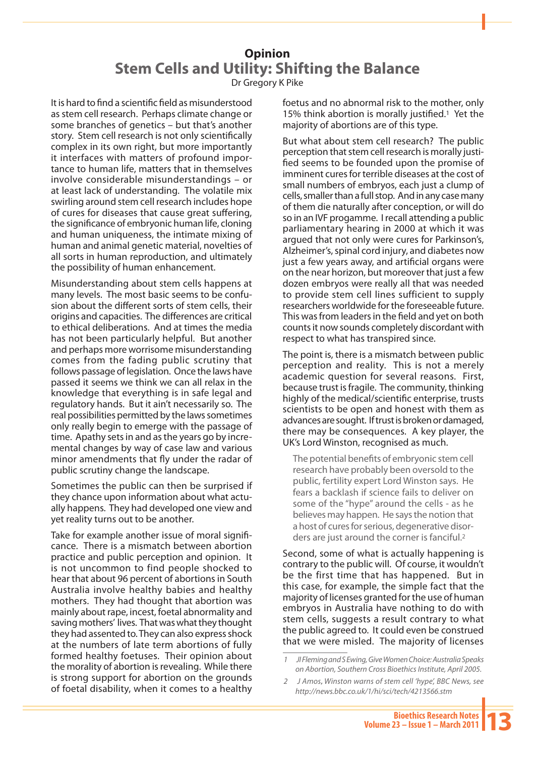# **Opinion Stem Cells and Utility: Shifting the Balance** Dr Gregory K Pike

It is hard to find a scientific field as misunderstood as stem cell research. Perhaps climate change or some branches of genetics – but that's another story. Stem cell research is not only scientifically complex in its own right, but more importantly it interfaces with matters of profound importance to human life, matters that in themselves involve considerable misunderstandings – or at least lack of understanding. The volatile mix swirling around stem cell research includes hope of cures for diseases that cause great suffering, the significance of embryonic human life, cloning and human uniqueness, the intimate mixing of human and animal genetic material, novelties of all sorts in human reproduction, and ultimately the possibility of human enhancement.

Misunderstanding about stem cells happens at many levels. The most basic seems to be confusion about the different sorts of stem cells, their origins and capacities. The differences are critical to ethical deliberations. And at times the media has not been particularly helpful. But another and perhaps more worrisome misunderstanding comes from the fading public scrutiny that follows passage of legislation. Once the laws have passed it seems we think we can all relax in the knowledge that everything is in safe legal and regulatory hands. But it ain't necessarily so. The real possibilities permitted by the laws sometimes only really begin to emerge with the passage of time. Apathy sets in and as the years go by incremental changes by way of case law and various minor amendments that fly under the radar of public scrutiny change the landscape.

Sometimes the public can then be surprised if they chance upon information about what actually happens. They had developed one view and yet reality turns out to be another.

Take for example another issue of moral significance. There is a mismatch between abortion practice and public perception and opinion. It is not uncommon to find people shocked to hear that about 96 percent of abortions in South Australia involve healthy babies and healthy mothers. They had thought that abortion was mainly about rape, incest, foetal abnormality and saving mothers' lives. That was what they thought they had assented to. They can also express shock at the numbers of late term abortions of fully formed healthy foetuses. Their opinion about the morality of abortion is revealing. While there is strong support for abortion on the grounds of foetal disability, when it comes to a healthy foetus and no abnormal risk to the mother, only 15% think abortion is morally justified.<sup>1</sup> Yet the majority of abortions are of this type.

But what about stem cell research? The public perception that stem cell research is morally justified seems to be founded upon the promise of imminent cures for terrible diseases at the cost of small numbers of embryos, each just a clump of cells, smaller than a full stop. And in any case many of them die naturally after conception, or will do so in an IVF progamme. I recall attending a public parliamentary hearing in 2000 at which it was argued that not only were cures for Parkinson's, Alzheimer's, spinal cord injury, and diabetes now just a few years away, and artificial organs were on the near horizon, but moreover that just a few dozen embryos were really all that was needed to provide stem cell lines sufficient to supply researchers worldwide for the foreseeable future. This was from leaders in the field and yet on both counts it now sounds completely discordant with respect to what has transpired since.

The point is, there is a mismatch between public perception and reality. This is not a merely academic question for several reasons. First, because trust is fragile. The community, thinking highly of the medical/scientific enterprise, trusts scientists to be open and honest with them as advances are sought. If trust is broken or damaged, there may be consequences. A key player, the UK's Lord Winston, recognised as much.

The potential benefits of embryonic stem cell research have probably been oversold to the public, fertility expert Lord Winston says. He fears a backlash if science fails to deliver on some of the "hype" around the cells - as he believes may happen. He says the notion that a host of cures for serious, degenerative disorders are just around the corner is fanciful.<sup>2</sup>

Second, some of what is actually happening is contrary to the public will. Of course, it wouldn't be the first time that has happened. But in this case, for example, the simple fact that the majority of licenses granted for the use of human embryos in Australia have nothing to do with stem cells, suggests a result contrary to what the public agreed to. It could even be construed that we were misled. The majority of licenses

*<sup>1</sup> JI Fleming and S Ewing, Give Women Choice: Australia Speaks on Abortion, Southern Cross Bioethics Institute, April 2005.*

*<sup>2</sup> J Amos***,** *Winston warns of stem cell 'hype', BBC News, see http://news.bbc.co.uk/1/hi/sci/tech/4213566.stm*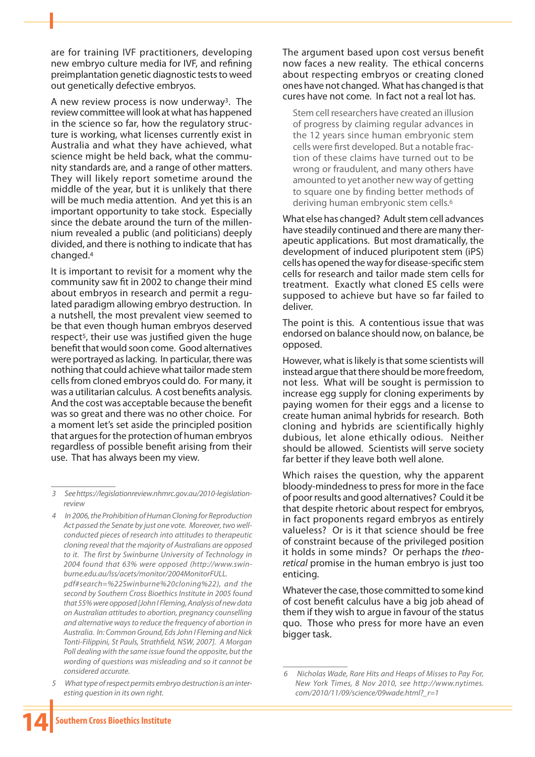are for training IVF practitioners, developing new embryo culture media for IVF, and refining preimplantation genetic diagnostic tests to weed out genetically defective embryos.

A new review process is now underway3. The review committee will look at what has happened in the science so far, how the regulatory structure is working, what licenses currently exist in Australia and what they have achieved, what science might be held back, what the community standards are, and a range of other matters. They will likely report sometime around the middle of the year, but it is unlikely that there will be much media attention. And yet this is an important opportunity to take stock. Especially since the debate around the turn of the millennium revealed a public (and politicians) deeply divided, and there is nothing to indicate that has changed.4

It is important to revisit for a moment why the community saw fit in 2002 to change their mind about embryos in research and permit a regulated paradigm allowing embryo destruction. In a nutshell, the most prevalent view seemed to be that even though human embryos deserved respect5, their use was justified given the huge benefit that would soon come. Good alternatives were portrayed as lacking. In particular, there was nothing that could achieve what tailor made stem cells from cloned embryos could do. For many, it was a utilitarian calculus. A cost benefits analysis. And the cost was acceptable because the benefit was so great and there was no other choice. For a moment let's set aside the principled position that argues for the protection of human embryos regardless of possible benefit arising from their use. That has always been my view.

*4 In 2006, the Prohibition of Human Cloning for Reproduction Act passed the Senate by just one vote. Moreover, two wellconducted pieces of research into attitudes to therapeutic cloning reveal that the majority of Australians are opposed to it. The first by Swinburne University of Technology in 2004 found that 63% were opposed (http://www.swinburne.edu.au/lss/acets/monitor/2004MonitorFULL.*

*pdf#search=%22Swinburne%20cloning%22), and the second by Southern Cross Bioethics Institute in 2005 found that 55% were opposed [John I Fleming, Analysis of new data on Australian attitudes to abortion, pregnancy counselling and alternative ways to reduce the frequency of abortion in Australia. In: Common Ground, Eds John I Fleming and Nick Tonti-Filippini, St Pauls, Strathfield, NSW, 2007]. A Morgan Poll dealing with the same issue found the opposite, but the wording of questions was misleading and so it cannot be considered accurate.*

*5 What type of respect permits embryo destruction is an interesting question in its own right.*

The argument based upon cost versus benefit now faces a new reality. The ethical concerns about respecting embryos or creating cloned ones have not changed. What has changed is that cures have not come. In fact not a real lot has.

Stem cell researchers have created an illusion of progress by claiming regular advances in the 12 years since human embryonic stem cells were first developed. But a notable fraction of these claims have turned out to be wrong or fraudulent, and many others have amounted to yet another new way of getting to square one by finding better methods of deriving human embryonic stem cells.6

What else has changed? Adult stem cell advances have steadily continued and there are many therapeutic applications. But most dramatically, the development of induced pluripotent stem (iPS) cells has opened the way for disease-specific stem cells for research and tailor made stem cells for treatment. Exactly what cloned ES cells were supposed to achieve but have so far failed to deliver.

The point is this. A contentious issue that was endorsed on balance should now, on balance, be opposed.

However, what is likely is that some scientists will instead argue that there should be more freedom, not less. What will be sought is permission to increase egg supply for cloning experiments by paying women for their eggs and a license to create human animal hybrids for research. Both cloning and hybrids are scientifically highly dubious, let alone ethically odious. Neither should be allowed. Scientists will serve society far better if they leave both well alone.

Which raises the question, why the apparent bloody-mindedness to press for more in the face of poor results and good alternatives? Could it be that despite rhetoric about respect for embryos, in fact proponents regard embryos as entirely valueless? Or is it that science should be free of constraint because of the privileged position it holds in some minds? Or perhaps the *theoretical* promise in the human embryo is just too enticing.

Whatever the case, those committed to some kind of cost benefit calculus have a big job ahead of them if they wish to argue in favour of the status quo. Those who press for more have an even bigger task.

*<sup>3</sup> See https://legislationreview.nhmrc.gov.au/2010-legislationreview*

*<sup>6</sup> Nicholas Wade, Rare Hits and Heaps of Misses to Pay For, New York Times, 8 Nov 2010, see http://www.nytimes. com/2010/11/09/science/09wade.html?\_r=1*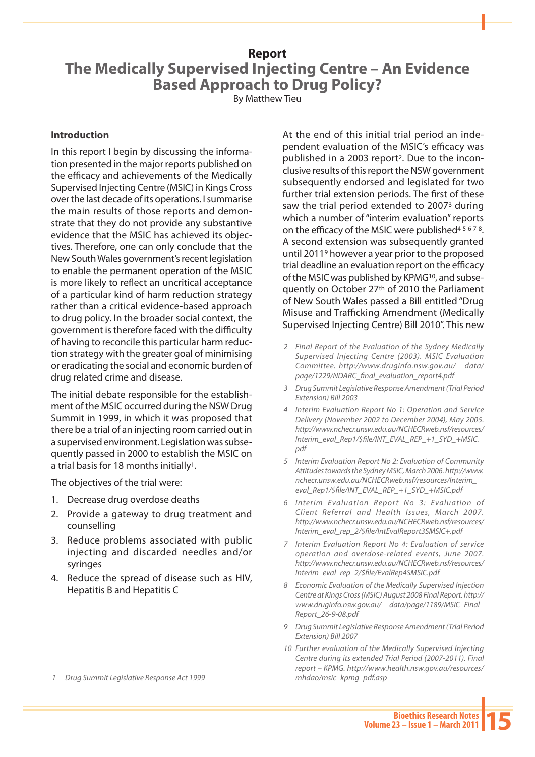#### **Report**

# **The Medically Supervised Injecting Centre – An Evidence Based Approach to Drug Policy?**

By Matthew Tieu

#### **Introduction**

In this report I begin by discussing the information presented in the major reports published on the efficacy and achievements of the Medically Supervised Injecting Centre (MSIC) in Kings Cross over the last decade of its operations. I summarise the main results of those reports and demonstrate that they do not provide any substantive evidence that the MSIC has achieved its objectives. Therefore, one can only conclude that the New South Wales government's recent legislation to enable the permanent operation of the MSIC is more likely to reflect an uncritical acceptance of a particular kind of harm reduction strategy rather than a critical evidence-based approach to drug policy. In the broader social context, the government is therefore faced with the difficulty of having to reconcile this particular harm reduction strategy with the greater goal of minimising or eradicating the social and economic burden of drug related crime and disease.

The initial debate responsible for the establishment of the MSIC occurred during the NSW Drug Summit in 1999, in which it was proposed that there be a trial of an injecting room carried out in a supervised environment. Legislation was subsequently passed in 2000 to establish the MSIC on a trial basis for 18 months initially1.

The objectives of the trial were:

- 1. Decrease drug overdose deaths
- 2. Provide a gateway to drug treatment and counselling
- 3. Reduce problems associated with public injecting and discarded needles and/or syringes
- 4. Reduce the spread of disease such as HIV, Hepatitis B and Hepatitis C

At the end of this initial trial period an independent evaluation of the MSIC's efficacy was published in a 2003 report2. Due to the inconclusive results of this report the NSW government subsequently endorsed and legislated for two further trial extension periods. The first of these saw the trial period extended to 2007<sup>3</sup> during which a number of "interim evaluation" reports on the efficacy of the MSIC were published<sup>45678</sup>. A second extension was subsequently granted until 20119 however a year prior to the proposed trial deadline an evaluation report on the efficacy of the MSIC was published by KPMG10, and subsequently on October 27th of 2010 the Parliament of New South Wales passed a Bill entitled "Drug Misuse and Trafficking Amendment (Medically Supervised Injecting Centre) Bill 2010". This new

- *3 Drug Summit Legislative Response Amendment (Trial Period Extension) Bill 2003*
- *4 Interim Evaluation Report No 1: Operation and Service Delivery (November 2002 to December 2004), May 2005. http://www.nchecr.unsw.edu.au/NCHECRweb.nsf/resources/ Interim\_eval\_Rep1/\$file/INT\_EVAL\_REP\_+1\_SYD\_+MSIC. pdf*
- *5 Interim Evaluation Report No 2: Evaluation of Community Attitudes towards the Sydney MSIC, March 2006. http://www. nchecr.unsw.edu.au/NCHECRweb.nsf/resources/Interim\_ eval\_Rep1/\$file/INT\_EVAL\_REP\_+1\_SYD\_+MSIC.pdf*
- 6 Interim Evaluation Report No 3: Evaluation of *Client Referral and Health Issues, March 2007. http://www.nchecr.unsw.edu.au/NCHECRweb.nsf/resources/ Interim\_eval\_rep\_2/\$file/IntEvalReport3SMSIC+.pdf*
- *7 Interim Evaluation Report No 4: Evaluation of service operation and overdose-related events, June 2007. http://www.nchecr.unsw.edu.au/NCHECRweb.nsf/resources/ Interim\_eval\_rep\_2/\$file/EvalRep4SMSIC.pdf*
- *8 Economic Evaluation of the Medically Supervised Injection Centre at Kings Cross (MSIC) August 2008 Final Report. http:// www.druginfo.nsw.gov.au/\_\_data/page/1189/MSIC\_Final\_ Report\_26-9-08.pdf*
- *9 Drug Summit Legislative Response Amendment (Trial Period Extension) Bill 2007*
- *10 Further evaluation of the Medically Supervised Injecting Centre during its extended Trial Period (2007-2011). Final report – KPMG. http://www.health.nsw.gov.au/resources/ mhdao/msic\_kpmg\_pdf.asp*

*<sup>1</sup> Drug Summit Legislative Response Act 1999*

*<sup>2</sup> Final Report of the Evaluation of the Sydney Medically Supervised Injecting Centre (2003). MSIC Evaluation Committee. http://www.druginfo.nsw.gov.au/\_\_data/ page/1229/NDARC\_final\_evaluation\_report4.pdf*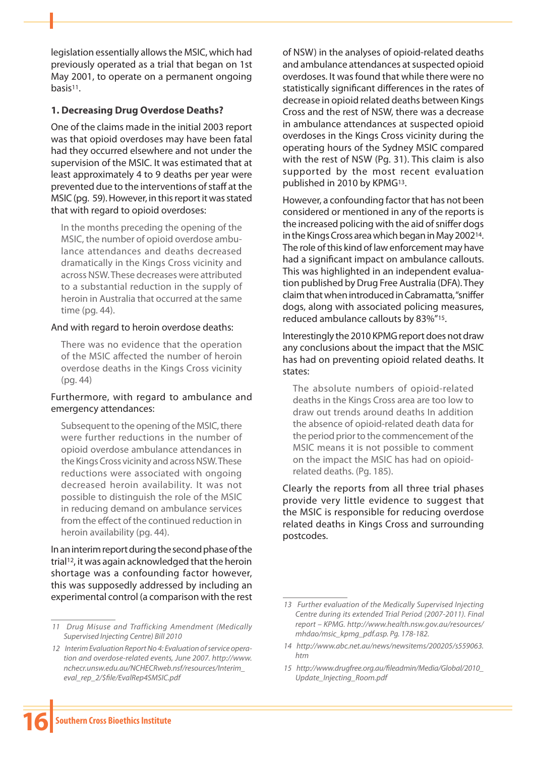legislation essentially allows the MSIC, which had previously operated as a trial that began on 1st May 2001, to operate on a permanent ongoing basis11.

### **1. Decreasing Drug Overdose Deaths?**

One of the claims made in the initial 2003 report was that opioid overdoses may have been fatal had they occurred elsewhere and not under the supervision of the MSIC. It was estimated that at least approximately 4 to 9 deaths per year were prevented due to the interventions of staff at the MSIC (pg. 59). However, in this report it was stated that with regard to opioid overdoses:

In the months preceding the opening of the MSIC, the number of opioid overdose ambulance attendances and deaths decreased dramatically in the Kings Cross vicinity and across NSW. These decreases were attributed to a substantial reduction in the supply of heroin in Australia that occurred at the same time (pg. 44).

#### And with regard to heroin overdose deaths:

There was no evidence that the operation of the MSIC affected the number of heroin overdose deaths in the Kings Cross vicinity (pg. 44)

#### Furthermore, with regard to ambulance and emergency attendances:

Subsequent to the opening of the MSIC, there were further reductions in the number of opioid overdose ambulance attendances in the Kings Cross vicinity and across NSW. These reductions were associated with ongoing decreased heroin availability. It was not possible to distinguish the role of the MSIC in reducing demand on ambulance services from the effect of the continued reduction in heroin availability (pg. 44).

In an interim report during the second phase of the trial12, it was again acknowledged that the heroin shortage was a confounding factor however, this was supposedly addressed by including an experimental control (a comparison with the rest of NSW) in the analyses of opioid-related deaths and ambulance attendances at suspected opioid overdoses. It was found that while there were no statistically significant differences in the rates of decrease in opioid related deaths between Kings Cross and the rest of NSW, there was a decrease in ambulance attendances at suspected opioid overdoses in the Kings Cross vicinity during the operating hours of the Sydney MSIC compared with the rest of NSW (Pg. 31). This claim is also supported by the most recent evaluation published in 2010 by KPMG13.

However, a confounding factor that has not been considered or mentioned in any of the reports is the increased policing with the aid of sniffer dogs in the Kings Cross area which began in May 200214. The role of this kind of law enforcement may have had a significant impact on ambulance callouts. This was highlighted in an independent evaluation published by Drug Free Australia (DFA). They claim that when introduced in Cabramatta, "sniffer dogs, along with associated policing measures, reduced ambulance callouts by 83%"15.

Interestingly the 2010 KPMG report does not draw any conclusions about the impact that the MSIC has had on preventing opioid related deaths. It states:

The absolute numbers of opioid-related deaths in the Kings Cross area are too low to draw out trends around deaths In addition the absence of opioid-related death data for the period prior to the commencement of the MSIC means it is not possible to comment on the impact the MSIC has had on opioidrelated deaths. (Pg. 185).

Clearly the reports from all three trial phases provide very little evidence to suggest that the MSIC is responsible for reducing overdose related deaths in Kings Cross and surrounding postcodes.

*<sup>11</sup> Drug Misuse and Trafficking Amendment (Medically Supervised Injecting Centre) Bill 2010*

*<sup>12</sup> Interim Evaluation Report No 4: Evaluation of service operation and overdose-related events, June 2007. http://www. nchecr.unsw.edu.au/NCHECRweb.nsf/resources/Interim\_ eval\_rep\_2/\$file/EvalRep4SMSIC.pdf*

*<sup>13</sup> Further evaluation of the Medically Supervised Injecting Centre during its extended Trial Period (2007-2011). Final report – KPMG. http://www.health.nsw.gov.au/resources/ mhdao/msic\_kpmg\_pdf.asp. Pg. 178-182.*

*<sup>14</sup> http://www.abc.net.au/news/newsitems/200205/s559063. htm*

*<sup>15</sup> http://www.drugfree.org.au/fileadmin/Media/Global/2010\_ Update\_Injecting\_Room.pdf*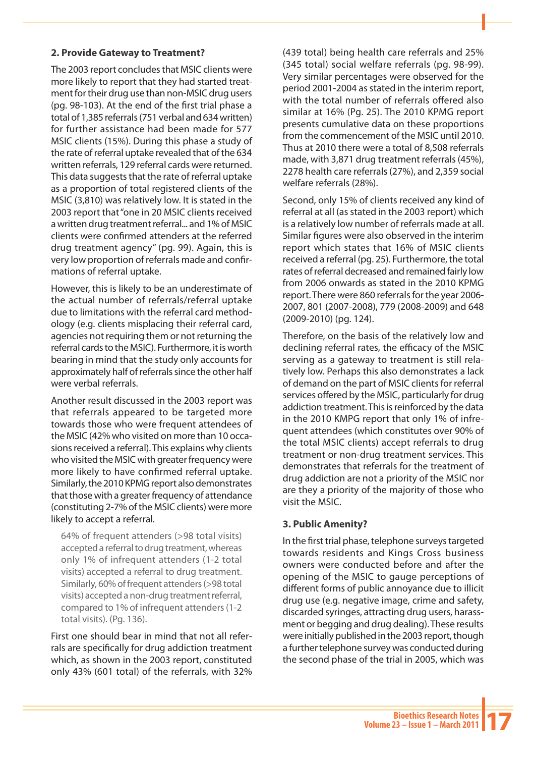### **2. Provide Gateway to Treatment?**

The 2003 report concludes that MSIC clients were more likely to report that they had started treatment for their drug use than non-MSIC drug users (pg. 98-103). At the end of the first trial phase a total of 1,385 referrals (751 verbal and 634 written) for further assistance had been made for 577 MSIC clients (15%). During this phase a study of the rate of referral uptake revealed that of the 634 written referrals, 129 referral cards were returned. This data suggests that the rate of referral uptake as a proportion of total registered clients of the MSIC (3,810) was relatively low. It is stated in the 2003 report that "one in 20 MSIC clients received a written drug treatment referral... and 1% of MSIC clients were confirmed attenders at the referred drug treatment agency" (pg. 99). Again, this is very low proportion of referrals made and confirmations of referral uptake.

However, this is likely to be an underestimate of the actual number of referrals/referral uptake due to limitations with the referral card methodology (e.g. clients misplacing their referral card, agencies not requiring them or not returning the referral cards to the MSIC). Furthermore, it is worth bearing in mind that the study only accounts for approximately half of referrals since the other half were verbal referrals.

Another result discussed in the 2003 report was that referrals appeared to be targeted more towards those who were frequent attendees of the MSIC (42% who visited on more than 10 occasions received a referral). This explains why clients who visited the MSIC with greater frequency were more likely to have confirmed referral uptake. Similarly, the 2010 KPMG report also demonstrates that those with a greater frequency of attendance (constituting 2-7% of the MSIC clients) were more likely to accept a referral.

64% of frequent attenders (>98 total visits) accepted a referral to drug treatment, whereas only 1% of infrequent attenders (1-2 total visits) accepted a referral to drug treatment. Similarly, 60% of frequent attenders (>98 total visits) accepted a non-drug treatment referral, compared to 1% of infrequent attenders (1-2 total visits). (Pg. 136).

First one should bear in mind that not all referrals are specifically for drug addiction treatment which, as shown in the 2003 report, constituted only 43% (601 total) of the referrals, with 32% (439 total) being health care referrals and 25% (345 total) social welfare referrals (pg. 98-99). Very similar percentages were observed for the period 2001-2004 as stated in the interim report, with the total number of referrals offered also similar at 16% (Pg. 25). The 2010 KPMG report presents cumulative data on these proportions from the commencement of the MSIC until 2010. Thus at 2010 there were a total of 8,508 referrals made, with 3,871 drug treatment referrals (45%), 2278 health care referrals (27%), and 2,359 social welfare referrals (28%).

Second, only 15% of clients received any kind of referral at all (as stated in the 2003 report) which is a relatively low number of referrals made at all. Similar figures were also observed in the interim report which states that 16% of MSIC clients received a referral (pg. 25). Furthermore, the total rates of referral decreased and remained fairly low from 2006 onwards as stated in the 2010 KPMG report. There were 860 referrals for the year 2006- 2007, 801 (2007-2008), 779 (2008-2009) and 648 (2009-2010) (pg. 124).

Therefore, on the basis of the relatively low and declining referral rates, the efficacy of the MSIC serving as a gateway to treatment is still relatively low. Perhaps this also demonstrates a lack of demand on the part of MSIC clients for referral services offered by the MSIC, particularly for drug addiction treatment. This is reinforced by the data in the 2010 KMPG report that only 1% of infrequent attendees (which constitutes over 90% of the total MSIC clients) accept referrals to drug treatment or non-drug treatment services. This demonstrates that referrals for the treatment of drug addiction are not a priority of the MSIC nor are they a priority of the majority of those who visit the MSIC.

#### **3. Public Amenity?**

In the first trial phase, telephone surveys targeted towards residents and Kings Cross business owners were conducted before and after the opening of the MSIC to gauge perceptions of different forms of public annoyance due to illicit drug use (e.g. negative image, crime and safety, discarded syringes, attracting drug users, harassment or begging and drug dealing). These results were initially published in the 2003 report, though a further telephone survey was conducted during the second phase of the trial in 2005, which was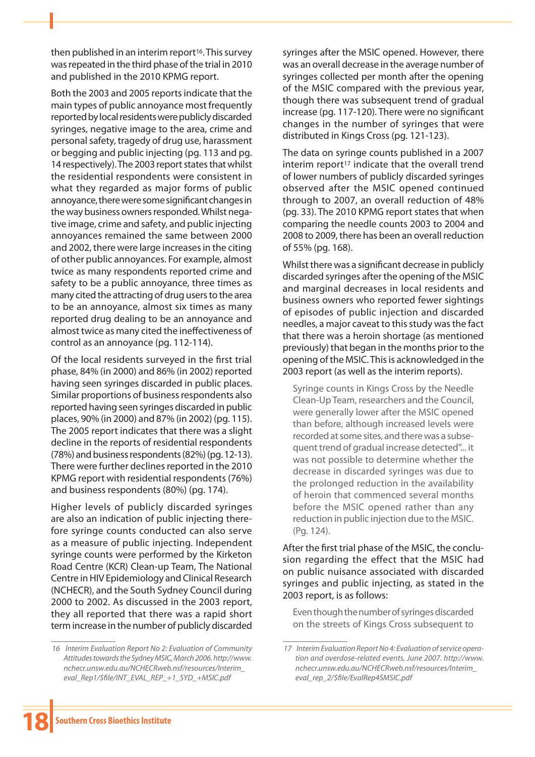then published in an interim report<sup>16</sup>. This survey was repeated in the third phase of the trial in 2010 and published in the 2010 KPMG report.

Both the 2003 and 2005 reports indicate that the main types of public annoyance most frequently reported by local residents were publicly discarded syringes, negative image to the area, crime and personal safety, tragedy of drug use, harassment or begging and public injecting (pg. 113 and pg. 14 respectively). The 2003 report states that whilst the residential respondents were consistent in what they regarded as major forms of public annoyance, there were some significant changes in the way business owners responded. Whilst negative image, crime and safety, and public injecting annoyances remained the same between 2000 and 2002, there were large increases in the citing of other public annoyances. For example, almost twice as many respondents reported crime and safety to be a public annoyance, three times as many cited the attracting of drug users to the area to be an annoyance, almost six times as many reported drug dealing to be an annoyance and almost twice as many cited the ineffectiveness of control as an annoyance (pg. 112-114).

Of the local residents surveyed in the first trial phase, 84% (in 2000) and 86% (in 2002) reported having seen syringes discarded in public places. Similar proportions of business respondents also reported having seen syringes discarded in public places, 90% (in 2000) and 87% (in 2002) (pg. 115). The 2005 report indicates that there was a slight decline in the reports of residential respondents (78%) and business respondents (82%) (pg. 12-13). There were further declines reported in the 2010 KPMG report with residential respondents (76%) and business respondents (80%) (pg. 174).

Higher levels of publicly discarded syringes are also an indication of public injecting therefore syringe counts conducted can also serve as a measure of public injecting. Independent syringe counts were performed by the Kirketon Road Centre (KCR) Clean-up Team, The National Centre in HIV Epidemiology and Clinical Research (NCHECR), and the South Sydney Council during 2000 to 2002. As discussed in the 2003 report, they all reported that there was a rapid short term increase in the number of publicly discarded

syringes after the MSIC opened. However, there was an overall decrease in the average number of syringes collected per month after the opening of the MSIC compared with the previous year, though there was subsequent trend of gradual increase (pg. 117-120). There were no significant changes in the number of syringes that were distributed in Kings Cross (pg. 121-123).

The data on syringe counts published in a 2007 interim report<sup>17</sup> indicate that the overall trend of lower numbers of publicly discarded syringes observed after the MSIC opened continued through to 2007, an overall reduction of 48% (pg. 33). The 2010 KPMG report states that when comparing the needle counts 2003 to 2004 and 2008 to 2009, there has been an overall reduction of 55% (pg. 168).

Whilst there was a significant decrease in publicly discarded syringes after the opening of the MSIC and marginal decreases in local residents and business owners who reported fewer sightings of episodes of public injection and discarded needles, a major caveat to this study was the fact that there was a heroin shortage (as mentioned previously) that began in the months prior to the opening of the MSIC. This is acknowledged in the 2003 report (as well as the interim reports).

Syringe counts in Kings Cross by the Needle Clean-Up Team, researchers and the Council, were generally lower after the MSIC opened than before, although increased levels were recorded at some sites, and there was a subsequent trend of gradual increase detected"... it was not possible to determine whether the decrease in discarded syringes was due to the prolonged reduction in the availability of heroin that commenced several months before the MSIC opened rather than any reduction in public injection due to the MSIC. (Pg. 124).

After the first trial phase of the MSIC, the conclusion regarding the effect that the MSIC had on public nuisance associated with discarded syringes and public injecting, as stated in the 2003 report, is as follows:

Even though the number of syringes discarded on the streets of Kings Cross subsequent to

*<sup>16</sup> Interim Evaluation Report No 2: Evaluation of Community Attitudes towards the Sydney MSIC, March 2006. http://www. nchecr.unsw.edu.au/NCHECRweb.nsf/resources/Interim\_ eval\_Rep1/\$file/INT\_EVAL\_REP\_+1\_SYD\_+MSIC.pdf*

*<sup>17</sup> Interim Evaluation Report No 4: Evaluation of service operation and overdose-related events, June 2007. http://www. nchecr.unsw.edu.au/NCHECRweb.nsf/resources/Interim\_ eval\_rep\_2/\$file/EvalRep4SMSIC.pdf*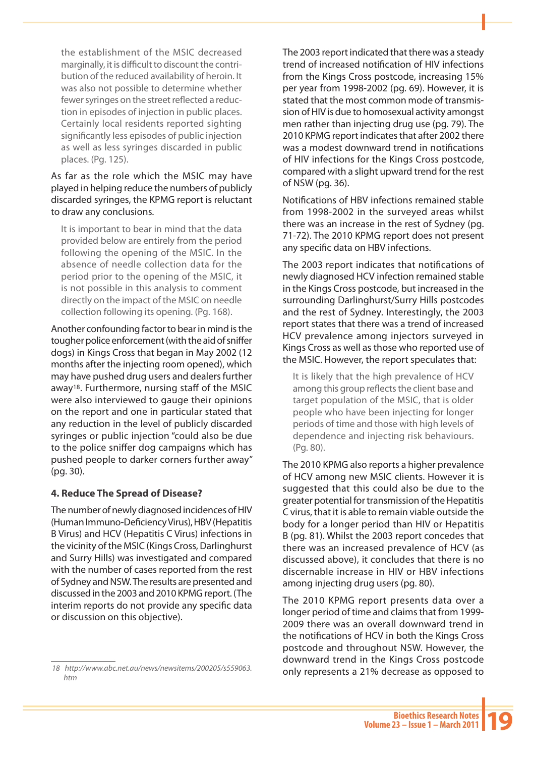the establishment of the MSIC decreased marginally, it is difficult to discount the contribution of the reduced availability of heroin. It was also not possible to determine whether fewer syringes on the street reflected a reduction in episodes of injection in public places. Certainly local residents reported sighting significantly less episodes of public injection as well as less syringes discarded in public places. (Pg. 125).

As far as the role which the MSIC may have played in helping reduce the numbers of publicly discarded syringes, the KPMG report is reluctant to draw any conclusions.

It is important to bear in mind that the data provided below are entirely from the period following the opening of the MSIC. In the absence of needle collection data for the period prior to the opening of the MSIC, it is not possible in this analysis to comment directly on the impact of the MSIC on needle collection following its opening. (Pg. 168).

Another confounding factor to bear in mind is the tougher police enforcement (with the aid of sniffer dogs) in Kings Cross that began in May 2002 (12 months after the injecting room opened), which may have pushed drug users and dealers further away18. Furthermore, nursing staff of the MSIC were also interviewed to gauge their opinions on the report and one in particular stated that any reduction in the level of publicly discarded syringes or public injection "could also be due to the police sniffer dog campaigns which has pushed people to darker corners further away" (pg. 30).

#### **4. Reduce The Spread of Disease?**

The number of newly diagnosed incidences of HIV (Human Immuno-Deficiency Virus), HBV (Hepatitis B Virus) and HCV (Hepatitis C Virus) infections in the vicinity of the MSIC (Kings Cross, Darlinghurst and Surry Hills) was investigated and compared with the number of cases reported from the rest of Sydney and NSW. The results are presented and discussed in the 2003 and 2010 KPMG report. (The interim reports do not provide any specific data or discussion on this objective).

The 2003 report indicated that there was a steady trend of increased notification of HIV infections from the Kings Cross postcode, increasing 15% per year from 1998-2002 (pg. 69). However, it is stated that the most common mode of transmission of HIV is due to homosexual activity amongst men rather than injecting drug use (pg. 79). The 2010 KPMG report indicates that after 2002 there was a modest downward trend in notifications of HIV infections for the Kings Cross postcode, compared with a slight upward trend for the rest of NSW (pg. 36).

Notifications of HBV infections remained stable from 1998-2002 in the surveyed areas whilst there was an increase in the rest of Sydney (pg. 71-72). The 2010 KPMG report does not present any specific data on HBV infections.

The 2003 report indicates that notifications of newly diagnosed HCV infection remained stable in the Kings Cross postcode, but increased in the surrounding Darlinghurst/Surry Hills postcodes and the rest of Sydney. Interestingly, the 2003 report states that there was a trend of increased HCV prevalence among injectors surveyed in Kings Cross as well as those who reported use of the MSIC. However, the report speculates that:

It is likely that the high prevalence of HCV among this group reflects the client base and target population of the MSIC, that is older people who have been injecting for longer periods of time and those with high levels of dependence and injecting risk behaviours. (Pg. 80).

The 2010 KPMG also reports a higher prevalence of HCV among new MSIC clients. However it is suggested that this could also be due to the greater potential for transmission of the Hepatitis C virus, that it is able to remain viable outside the body for a longer period than HIV or Hepatitis B (pg. 81). Whilst the 2003 report concedes that there was an increased prevalence of HCV (as discussed above), it concludes that there is no discernable increase in HIV or HBV infections among injecting drug users (pg. 80).

The 2010 KPMG report presents data over a longer period of time and claims that from 1999- 2009 there was an overall downward trend in the notifications of HCV in both the Kings Cross postcode and throughout NSW. However, the downward trend in the Kings Cross postcode only represents a 21% decrease as opposed to

*<sup>18</sup> http://www.abc.net.au/news/newsitems/200205/s559063. htm*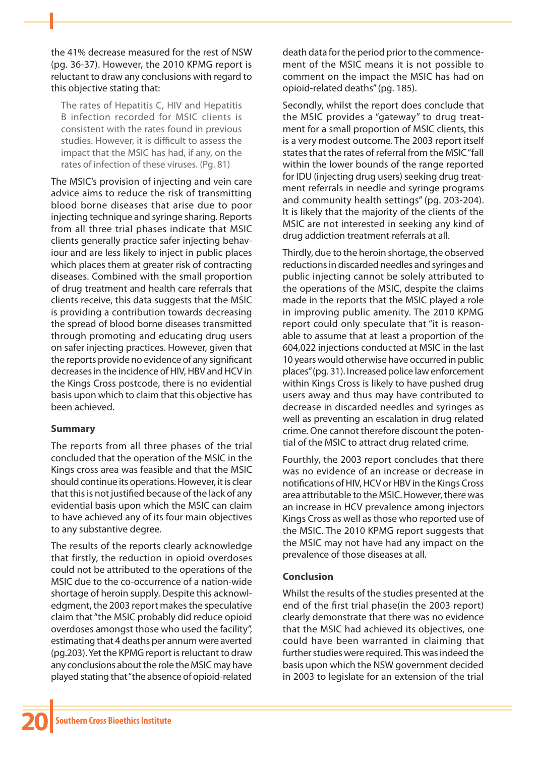the 41% decrease measured for the rest of NSW (pg. 36-37). However, the 2010 KPMG report is reluctant to draw any conclusions with regard to this objective stating that:

The rates of Hepatitis C, HIV and Hepatitis B infection recorded for MSIC clients is consistent with the rates found in previous studies. However, it is difficult to assess the impact that the MSIC has had, if any, on the rates of infection of these viruses. (Pg. 81)

The MSIC's provision of injecting and vein care advice aims to reduce the risk of transmitting blood borne diseases that arise due to poor injecting technique and syringe sharing. Reports from all three trial phases indicate that MSIC clients generally practice safer injecting behaviour and are less likely to inject in public places which places them at greater risk of contracting diseases. Combined with the small proportion of drug treatment and health care referrals that clients receive, this data suggests that the MSIC is providing a contribution towards decreasing the spread of blood borne diseases transmitted through promoting and educating drug users on safer injecting practices. However, given that the reports provide no evidence of any significant decreases in the incidence of HIV, HBV and HCV in the Kings Cross postcode, there is no evidential basis upon which to claim that this objective has been achieved.

## **Summary**

The reports from all three phases of the trial concluded that the operation of the MSIC in the Kings cross area was feasible and that the MSIC should continue its operations. However, it is clear that this is not justified because of the lack of any evidential basis upon which the MSIC can claim to have achieved any of its four main objectives to any substantive degree.

The results of the reports clearly acknowledge that firstly, the reduction in opioid overdoses could not be attributed to the operations of the MSIC due to the co-occurrence of a nation-wide shortage of heroin supply. Despite this acknowledgment, the 2003 report makes the speculative claim that "the MSIC probably did reduce opioid overdoses amongst those who used the facility", estimating that 4 deaths per annum were averted (pg.203). Yet the KPMG report is reluctant to draw any conclusions about the role the MSIC may have played stating that "the absence of opioid-related

death data for the period prior to the commencement of the MSIC means it is not possible to comment on the impact the MSIC has had on opioid-related deaths" (pg. 185).

Secondly, whilst the report does conclude that the MSIC provides a "gateway" to drug treatment for a small proportion of MSIC clients, this is a very modest outcome. The 2003 report itself states that the rates of referral from the MSIC "fall within the lower bounds of the range reported for IDU (injecting drug users) seeking drug treatment referrals in needle and syringe programs and community health settings" (pg. 203-204). It is likely that the majority of the clients of the MSIC are not interested in seeking any kind of drug addiction treatment referrals at all.

Thirdly, due to the heroin shortage, the observed reductions in discarded needles and syringes and public injecting cannot be solely attributed to the operations of the MSIC, despite the claims made in the reports that the MSIC played a role in improving public amenity. The 2010 KPMG report could only speculate that "it is reasonable to assume that at least a proportion of the 604,022 injections conducted at MSIC in the last 10 years would otherwise have occurred in public places" (pg. 31). Increased police law enforcement within Kings Cross is likely to have pushed drug users away and thus may have contributed to decrease in discarded needles and syringes as well as preventing an escalation in drug related crime. One cannot therefore discount the potential of the MSIC to attract drug related crime.

Fourthly, the 2003 report concludes that there was no evidence of an increase or decrease in notifications of HIV, HCV or HBV in the Kings Cross area attributable to the MSIC. However, there was an increase in HCV prevalence among injectors Kings Cross as well as those who reported use of the MSIC. The 2010 KPMG report suggests that the MSIC may not have had any impact on the prevalence of those diseases at all.

## **Conclusion**

Whilst the results of the studies presented at the end of the first trial phase(in the 2003 report) clearly demonstrate that there was no evidence that the MSIC had achieved its objectives, one could have been warranted in claiming that further studies were required. This was indeed the basis upon which the NSW government decided in 2003 to legislate for an extension of the trial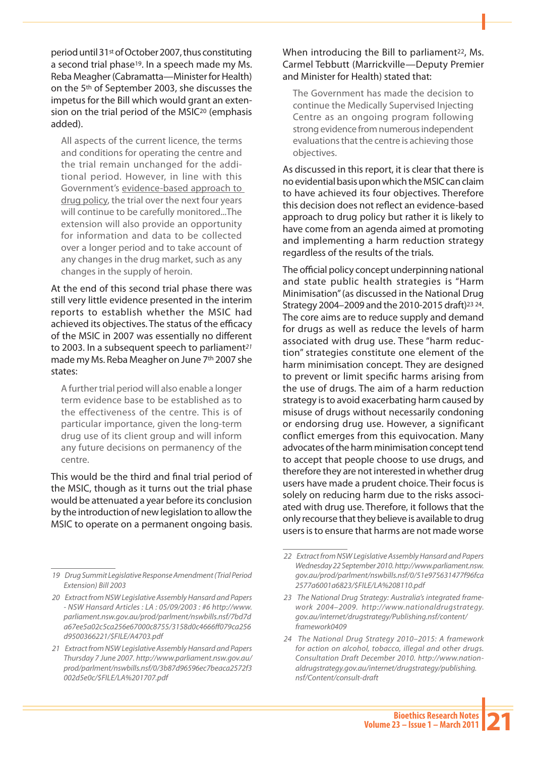period until 31st of October 2007, thus constituting a second trial phase<sup>19</sup>. In a speech made my Ms. Reba Meagher (Cabramatta—Minister for Health) on the 5th of September 2003, she discusses the impetus for the Bill which would grant an extension on the trial period of the MSIC<sup>20</sup> (emphasis added).

All aspects of the current licence, the terms and conditions for operating the centre and the trial remain unchanged for the additional period. However, in line with this Government's evidence-based approach to drug policy, the trial over the next four years will continue to be carefully monitored...The extension will also provide an opportunity for information and data to be collected over a longer period and to take account of any changes in the drug market, such as any changes in the supply of heroin.

At the end of this second trial phase there was still very little evidence presented in the interim reports to establish whether the MSIC had achieved its objectives. The status of the efficacy of the MSIC in 2007 was essentially no different to 2003. In a subsequent speech to parliament*<sup>21</sup>* made my Ms. Reba Meagher on June 7th 2007 she states:

A further trial period will also enable a longer term evidence base to be established as to the effectiveness of the centre. This is of particular importance, given the long-term drug use of its client group and will inform any future decisions on permanency of the centre.

This would be the third and final trial period of the MSIC, though as it turns out the trial phase would be attenuated a year before its conclusion by the introduction of new legislation to allow the MSIC to operate on a permanent ongoing basis.

#### When introducing the Bill to parliament<sup>22</sup>, Ms. Carmel Tebbutt (Marrickville—Deputy Premier and Minister for Health) stated that:

The Government has made the decision to continue the Medically Supervised Injecting Centre as an ongoing program following strong evidence from numerous independent evaluations that the centre is achieving those objectives.

As discussed in this report, it is clear that there is no evidential basis upon which the MSIC can claim to have achieved its four objectives. Therefore this decision does not reflect an evidence-based approach to drug policy but rather it is likely to have come from an agenda aimed at promoting and implementing a harm reduction strategy regardless of the results of the trials.

The official policy concept underpinning national and state public health strategies is "Harm Minimisation" (as discussed in the National Drug Strategy 2004–2009 and the 2010-2015 draft)23 24. The core aims are to reduce supply and demand for drugs as well as reduce the levels of harm associated with drug use. These "harm reduction" strategies constitute one element of the harm minimisation concept. They are designed to prevent or limit specific harms arising from the use of drugs. The aim of a harm reduction strategy is to avoid exacerbating harm caused by misuse of drugs without necessarily condoning or endorsing drug use. However, a significant conflict emerges from this equivocation. Many advocates of the harm minimisation concept tend to accept that people choose to use drugs, and therefore they are not interested in whether drug users have made a prudent choice. Their focus is solely on reducing harm due to the risks associated with drug use. Therefore, it follows that the only recourse that they believe is available to drug users is to ensure that harms are not made worse

*<sup>19</sup> Drug Summit Legislative Response Amendment (Trial Period Extension) Bill 2003*

*<sup>20</sup> Extract from NSW Legislative Assembly Hansard and Papers - NSW Hansard Articles : LA : 05/09/2003 : #6 http://www. parliament.nsw.gov.au/prod/parlment/nswbills.nsf/7bd7d a67ee5a02c5ca256e67000c8755/3158d0c4666ff079ca256 d9500366221/\$FILE/A4703.pdf*

*<sup>21</sup> Extract from NSW Legislative Assembly Hansard and Papers Thursday 7 June 2007. http://www.parliament.nsw.gov.au/ prod/parlment/nswbills.nsf/0/3b87d96596ec7beaca2572f3 002d5e0c/\$FILE/LA%201707.pdf*

*<sup>22</sup> Extract from NSW Legislative Assembly Hansard and Papers Wednesday 22 September 2010. http://www.parliament.nsw. gov.au/prod/parlment/nswbills.nsf/0/51e975631477f96fca 2577a6001a6823/\$FILE/LA%208110.pdf*

*<sup>23</sup> The National Drug Strategy: Australia's integrated framework 2004–2009. http://www.nationaldrugstrategy. gov.au/internet/drugstrategy/Publishing.nsf/content/ framework0409*

*<sup>24</sup> The National Drug Strategy 2010–2015: A framework for action on alcohol, tobacco, illegal and other drugs. Consultation Draft December 2010. http://www.nationaldrugstrategy.gov.au/internet/drugstrategy/publishing. nsf/Content/consult-draft*